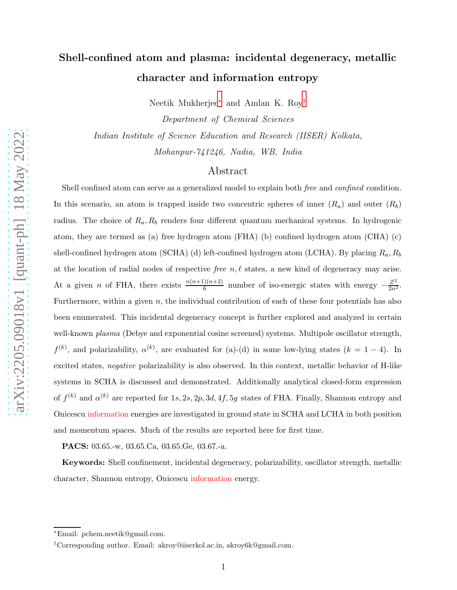# Shell-confined atom and plasma: incidental degeneracy, metallic character and information entropy

Neetik Mukherjee[∗](#page-0-0) and Amlan K. Roy[†](#page-0-1)

Department of Chemical Sciences Indian Institute of Science Education and Research (IISER) Kolkata, Mohanpur-741246, Nadia, WB, India

# Abstract

Shell confined atom can serve as a generalized model to explain both *free* and *confined* condition. In this scenario, an atom is trapped inside two concentric spheres of inner  $(R_a)$  and outer  $(R_b)$ radius. The choice of  $R_a, R_b$  renders four different quantum mechanical systems. In hydrogenic atom, they are termed as (a) free hydrogen atom (FHA) (b) confined hydrogen atom (CHA) (c) shell-confined hydrogen atom (SCHA) (d) left-confined hydrogen atom (LCHA). By placing  $R_a, R_b$ at the location of radial nodes of respective *free* n, ℓ states, a new kind of degeneracy may arise. At a given *n* of FHA, there exists  $\frac{n(n+1)(n+2)}{6}$  number of iso-energic states with energy  $-\frac{Z^2}{2n^2}$ . Furthermore, within a given  $n$ , the individual contribution of each of these four potentials has also been enumerated. This incidental degeneracy concept is further explored and analyzed in certain well-known *plasma* (Debye and exponential cosine screened) systems. Multipole oscillator strength,  $f^{(k)}$ , and polarizability,  $\alpha^{(k)}$ , are evaluated for (a)-(d) in some low-lying states  $(k = 1 - 4)$ . In excited states, *negative* polarizability is also observed. In this context, metallic behavior of H-like systems in SCHA is discussed and demonstrated. Additionally analytical closed-form expression of  $f^{(k)}$  and  $\alpha^{(k)}$  are reported for 1s, 2s, 2p, 3d, 4f, 5g states of FHA. Finally, Shannon entropy and Onicescu information energies are investigated in ground state in SCHA and LCHA in both position and momentum spaces. Much of the results are reported here for first time.

PACS: 03.65.-w, 03.65.Ca, 03.65.Ge, 03.67.-a.

Keywords: Shell confinement, incidental degeneracy, polarizability, oscillator strength, metallic character, Shannon entropy, Onicescu information energy.

<span id="page-0-1"></span><span id="page-0-0"></span><sup>∗</sup>Email: pchem.neetik@gmail.com.

<sup>†</sup>Corresponding author. Email: akroy@iiserkol.ac.in, akroy6k@gmail.com.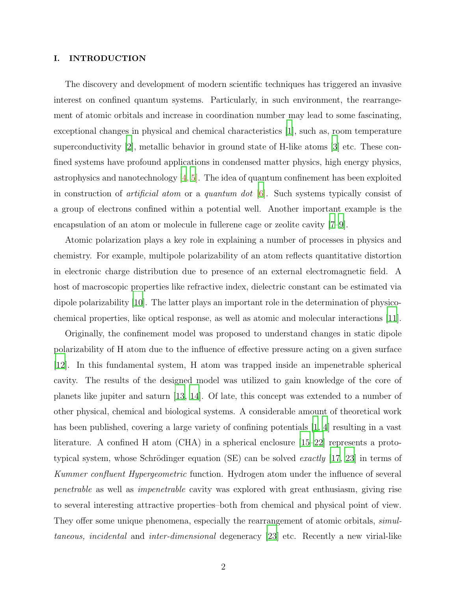## I. INTRODUCTION

The discovery and development of modern scientific techniques has triggered an invasive interest on confined quantum systems. Particularly, in such environment, the rearrangement of atomic orbitals and increase in coordination number may lead to some fascinating, exceptional changes in physical and chemical characteristics [\[1](#page-28-0)], such as, room temperature superconductivity [\[2](#page-28-1)], metallic behavior in ground state of H-like atoms [\[3](#page-28-2)] etc. These confined systems have profound applications in condensed matter physics, high energy physics, astrophysics and nanotechnology  $[4, 5]$  $[4, 5]$ . The idea of quantum confinement has been exploited in construction of *artificial atom* or a *quantum dot*  $|6|$ . Such systems typically consist of a group of electrons confined within a potential well. Another important example is the encapsulation of an atom or molecule in fullerene cage or zeolite cavity [\[7](#page-28-6)[–9](#page-28-7)].

Atomic polarization plays a key role in explaining a number of processes in physics and chemistry. For example, multipole polarizability of an atom reflects quantitative distortion in electronic charge distribution due to presence of an external electromagnetic field. A host of macroscopic properties like refractive index, dielectric constant can be estimated via dipole polarizability [\[10](#page-28-8)]. The latter plays an important role in the determination of physicochemical properties, like optical response, as well as atomic and molecular interactions [\[11\]](#page-28-9).

Originally, the confinement model was proposed to understand changes in static dipole polarizability of H atom due to the influence of effective pressure acting on a given surface [\[12\]](#page-29-0). In this fundamental system, H atom was trapped inside an impenetrable spherical cavity. The results of the designed model was utilized to gain knowledge of the core of planets like jupiter and saturn [\[13](#page-29-1), [14\]](#page-29-2). Of late, this concept was extended to a number of other physical, chemical and biological systems. A considerable amount of theoretical work has been published, covering a large variety of confining potentials [\[1](#page-28-0), [4\]](#page-28-3) resulting in a vast literature. A confined H atom (CHA) in a spherical enclosure [\[15](#page-29-3)[–22\]](#page-29-4) represents a prototypical system, whose Schrödinger equation (SE) can be solved *exactly* [\[17,](#page-29-5) [23\]](#page-29-6) in terms of Kummer confluent Hypergeometric function. Hydrogen atom under the influence of several penetrable as well as impenetrable cavity was explored with great enthusiasm, giving rise to several interesting attractive properties–both from chemical and physical point of view. They offer some unique phenomena, especially the rearrangement of atomic orbitals, *simul*taneous, incidental and inter-dimensional degeneracy [\[23\]](#page-29-6) etc. Recently a new virial-like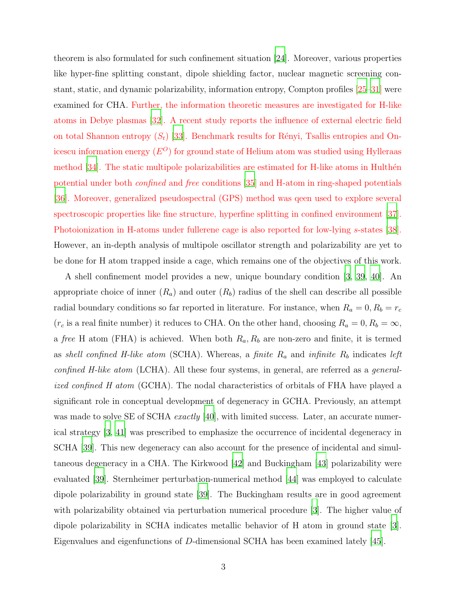theorem is also formulated for such confinement situation [\[24\]](#page-29-7). Moreover, various properties like hyper-fine splitting constant, dipole shielding factor, nuclear magnetic screening constant, static, and dynamic polarizability, information entropy, Compton profiles [\[25](#page-29-8)[–31\]](#page-29-9) were examined for CHA. Further, the information theoretic measures are investigated for H-like atoms in Debye plasmas [\[32\]](#page-29-10). A recent study reports the influence of external electric field on total Shannon entropy  $(S_t)$  [\[33\]](#page-29-11). Benchmark results for Rényi, Tsallis entropies and Onicescu information energy  $(E^{O})$  for ground state of Helium atom was studied using Hylleraas method  $[34]$ . The static multipole polarizabilities are estimated for H-like atoms in Hulthén potential under both confined and free conditions [\[35](#page-29-13)] and H-atom in ring-shaped potentials [\[36\]](#page-29-14). Moreover, generalized pseudospectral (GPS) method was qeen used to explore several spectroscopic properties like fine structure, hyperfine splitting in confined environment [\[37\]](#page-30-0). Photoionization in H-atoms under fullerene cage is also reported for low-lying s-states [\[38\]](#page-30-1). However, an in-depth analysis of multipole oscillator strength and polarizability are yet to be done for H atom trapped inside a cage, which remains one of the objectives of this work.

A shell confinement model provides a new, unique boundary condition [\[3](#page-28-2), [39](#page-30-2), [40\]](#page-30-3). An appropriate choice of inner  $(R_a)$  and outer  $(R_b)$  radius of the shell can describe all possible radial boundary conditions so far reported in literature. For instance, when  $R_a = 0, R_b = r_c$  $(r_c$  is a real finite number) it reduces to CHA. On the other hand, choosing  $R_a = 0, R_b = \infty$ , a free H atom (FHA) is achieved. When both  $R_a, R_b$  are non-zero and finite, it is termed as shell confined H-like atom (SCHA). Whereas, a finite  $R_a$  and infinite  $R_b$  indicates left confined H-like atom (LCHA). All these four systems, in general, are referred as a *general*ized confined H atom (GCHA). The nodal characteristics of orbitals of FHA have played a significant role in conceptual development of degeneracy in GCHA. Previously, an attempt was made to solve SE of SCHA *exactly* [\[40\]](#page-30-3), with limited success. Later, an accurate numerical strategy [\[3,](#page-28-2) [41\]](#page-30-4) was prescribed to emphasize the occurrence of incidental degeneracy in SCHA [\[39](#page-30-2)]. This new degeneracy can also account for the presence of incidental and simultaneous degeneracy in a CHA. The Kirkwood [\[42\]](#page-30-5) and Buckingham [\[43\]](#page-30-6) polarizability were evaluated [\[39](#page-30-2)]. Sternheimer perturbation-numerical method [\[44](#page-30-7)] was employed to calculate dipole polarizability in ground state [\[39](#page-30-2)]. The Buckingham results are in good agreement with polarizability obtained via perturbation numerical procedure [\[3](#page-28-2)]. The higher value of dipole polarizability in SCHA indicates metallic behavior of H atom in ground state [\[3\]](#page-28-2). Eigenvalues and eigenfunctions of D-dimensional SCHA has been examined lately [\[45\]](#page-30-8).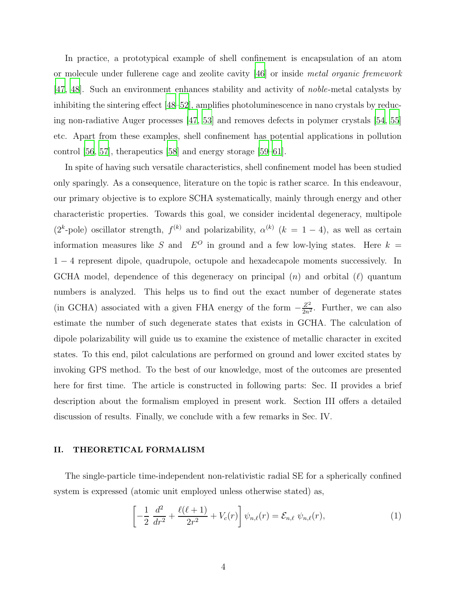In practice, a prototypical example of shell confinement is encapsulation of an atom or molecule under fullerene cage and zeolite cavity [\[46\]](#page-30-9) or inside metal organic fremework [\[47,](#page-30-10) [48\]](#page-30-11). Such an environment enhances stability and activity of noble-metal catalysts by inhibiting the sintering effect [\[48](#page-30-11)[–52\]](#page-30-12), amplifies photoluminescence in nano crystals by reducing non-radiative Auger processes [\[47,](#page-30-10) [53\]](#page-30-13) and removes defects in polymer crystals [\[54,](#page-30-14) [55\]](#page-30-15) etc. Apart from these examples, shell confinement has potential applications in pollution control [\[56](#page-30-16), [57](#page-30-17)], therapeutics [\[58](#page-31-0)] and energy storage [\[59](#page-31-1)[–61\]](#page-31-2).

In spite of having such versatile characteristics, shell confinement model has been studied only sparingly. As a consequence, literature on the topic is rather scarce. In this endeavour, our primary objective is to explore SCHA systematically, mainly through energy and other characteristic properties. Towards this goal, we consider incidental degeneracy, multipole (2<sup>k</sup>-pole) oscillator strength,  $f^{(k)}$  and polarizability,  $\alpha^{(k)}$  ( $k = 1 - 4$ ), as well as certain information measures like S and  $E^O$  in ground and a few low-lying states. Here  $k =$ 1 − 4 represent dipole, quadrupole, octupole and hexadecapole moments successively. In GCHA model, dependence of this degeneracy on principal  $(n)$  and orbital  $(\ell)$  quantum numbers is analyzed. This helps us to find out the exact number of degenerate states (in GCHA) associated with a given FHA energy of the form  $-\frac{Z^2}{2n^2}$ . Further, we can also estimate the number of such degenerate states that exists in GCHA. The calculation of dipole polarizability will guide us to examine the existence of metallic character in excited states. To this end, pilot calculations are performed on ground and lower excited states by invoking GPS method. To the best of our knowledge, most of the outcomes are presented here for first time. The article is constructed in following parts: Sec. II provides a brief description about the formalism employed in present work. Section III offers a detailed discussion of results. Finally, we conclude with a few remarks in Sec. IV.

## II. THEORETICAL FORMALISM

The single-particle time-independent non-relativistic radial SE for a spherically confined system is expressed (atomic unit employed unless otherwise stated) as,

$$
\left[ -\frac{1}{2} \frac{d^2}{dr^2} + \frac{\ell(\ell+1)}{2r^2} + V_c(r) \right] \psi_{n,\ell}(r) = \mathcal{E}_{n,\ell} \psi_{n,\ell}(r), \tag{1}
$$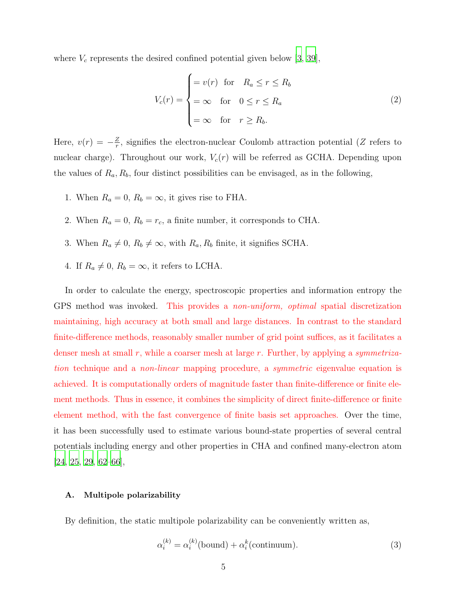where  $V_c$  represents the desired confined potential given below [\[3](#page-28-2), [39\]](#page-30-2),

<span id="page-4-0"></span>
$$
V_c(r) = \begin{cases} = v(r) & \text{for} \quad R_a \le r \le R_b \\ = \infty & \text{for} \quad 0 \le r \le R_a \\ = \infty & \text{for} \quad r \ge R_b. \end{cases}
$$
 (2)

Here,  $v(r) = -\frac{Z}{r}$  $\frac{Z}{r}$ , signifies the electron-nuclear Coulomb attraction potential (Z refers to nuclear charge). Throughout our work,  $V_c(r)$  will be referred as GCHA. Depending upon the values of  $R_a, R_b$ , four distinct possibilities can be envisaged, as in the following,

- 1. When  $R_a = 0$ ,  $R_b = \infty$ , it gives rise to FHA.
- 2. When  $R_a = 0$ ,  $R_b = r_c$ , a finite number, it corresponds to CHA.
- 3. When  $R_a \neq 0$ ,  $R_b \neq \infty$ , with  $R_a$ ,  $R_b$  finite, it signifies SCHA.
- 4. If  $R_a \neq 0$ ,  $R_b = \infty$ , it refers to LCHA.

In order to calculate the energy, spectroscopic properties and information entropy the GPS method was invoked. This provides a non-uniform, optimal spatial discretization maintaining, high accuracy at both small and large distances. In contrast to the standard finite-difference methods, reasonably smaller number of grid point suffices, as it facilitates a denser mesh at small r, while a coarser mesh at large r. Further, by applying a symmetrization technique and a *non-linear* mapping procedure, a *symmetric* eigenvalue equation is achieved. It is computationally orders of magnitude faster than finite-difference or finite element methods. Thus in essence, it combines the simplicity of direct finite-difference or finite element method, with the fast convergence of finite basis set approaches. Over the time, it has been successfully used to estimate various bound-state properties of several central potentials including energy and other properties in CHA and confined many-electron atom [\[24,](#page-29-7) [25,](#page-29-8) [29,](#page-29-15) [62](#page-31-3)[–66](#page-31-4)],

### A. Multipole polarizability

By definition, the static multipole polarizability can be conveniently written as,

$$
\alpha_i^{(k)} = \alpha_i^{(k)}\text{(bound)} + \alpha_i^k\text{(continuum)}.\tag{3}
$$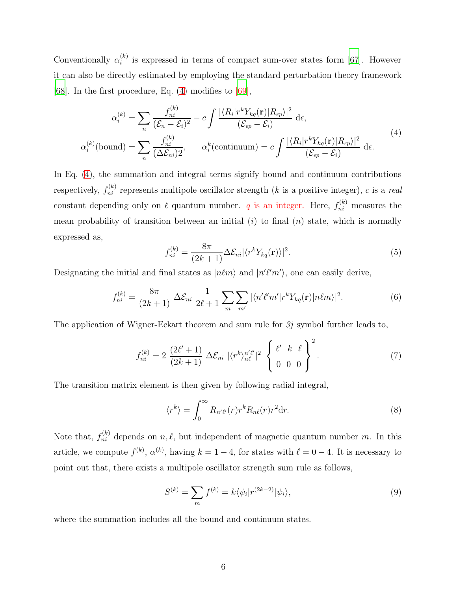Conventionally  $\alpha_i^{(k)}$  $i<sup>(k)</sup>$  is expressed in terms of compact sum-over states form [\[67\]](#page-31-5). However it can also be directly estimated by employing the standard perturbation theory framework [\[68\]](#page-31-6). In the first procedure, Eq.  $(4)$  modifies to [\[69](#page-31-7)],

<span id="page-5-0"></span>
$$
\alpha_i^{(k)} = \sum_n \frac{f_{ni}^{(k)}}{(\mathcal{E}_n - \mathcal{E}_i)^2} - c \int \frac{|\langle R_i | r^k Y_{kq}(\mathbf{r}) | R_{\epsilon p} \rangle|^2}{(\mathcal{E}_{\epsilon p} - \mathcal{E}_i)} d\epsilon,
$$
  

$$
\alpha_i^{(k)}(\text{bound}) = \sum_n \frac{f_{ni}^{(k)}}{(\Delta \mathcal{E}_{ni})^2}, \qquad \alpha_i^k(\text{continuum}) = c \int \frac{|\langle R_i | r^k Y_{kq}(\mathbf{r}) | R_{\epsilon p} \rangle|^2}{(\mathcal{E}_{\epsilon p} - \mathcal{E}_i)} d\epsilon.
$$
 (4)

In Eq. [\(4\)](#page-5-0), the summation and integral terms signify bound and continuum contributions respectively,  $f_{ni}^{(k)}$  represents multipole oscillator strength (k is a positive integer), c is a real constant depending only on  $\ell$  quantum number. q is an integer. Here,  $f_{ni}^{(k)}$  measures the mean probability of transition between an initial  $(i)$  to final  $(n)$  state, which is normally expressed as,

$$
f_{ni}^{(k)} = \frac{8\pi}{(2k+1)} \Delta \mathcal{E}_{ni} |\langle r^k Y_{kq}(\mathbf{r}) \rangle|^2.
$$
 (5)

Designating the initial and final states as  $|n\ell m\rangle$  and  $|n'\ell'm'\rangle$ , one can easily derive,

$$
f_{ni}^{(k)} = \frac{8\pi}{(2k+1)} \Delta \mathcal{E}_{ni} \frac{1}{2\ell+1} \sum_{m} \sum_{m'} |\langle n'\ell'm'|r^{k}Y_{kq}(\mathbf{r})|n\ell m\rangle|^{2}.
$$
 (6)

The application of Wigner-Eckart theorem and sum rule for 3j symbol further leads to,

$$
f_{ni}^{(k)} = 2 \frac{(2\ell' + 1)}{(2k+1)} \Delta \mathcal{E}_{ni} |\langle r^{k} \rangle_{n\ell}^{n'\ell'}|^2 \left\{ \begin{array}{ll} \ell' & k & \ell \\ 0 & 0 & 0 \end{array} \right\}^2.
$$
 (7)

The transition matrix element is then given by following radial integral,

$$
\langle r^k \rangle = \int_0^\infty R_{n'\ell'}(r) r^k R_{n\ell}(r) r^2 dr. \tag{8}
$$

Note that,  $f_{ni}^{(k)}$  depends on  $n, \ell$ , but independent of magnetic quantum number m. In this article, we compute  $f^{(k)}$ ,  $\alpha^{(k)}$ , having  $k = 1 - 4$ , for states with  $\ell = 0 - 4$ . It is necessary to point out that, there exists a multipole oscillator strength sum rule as follows,

<span id="page-5-1"></span>
$$
S^{(k)} = \sum_{m} f^{(k)} = k \langle \psi_i | r^{(2k-2)} | \psi_i \rangle, \tag{9}
$$

where the summation includes all the bound and continuum states.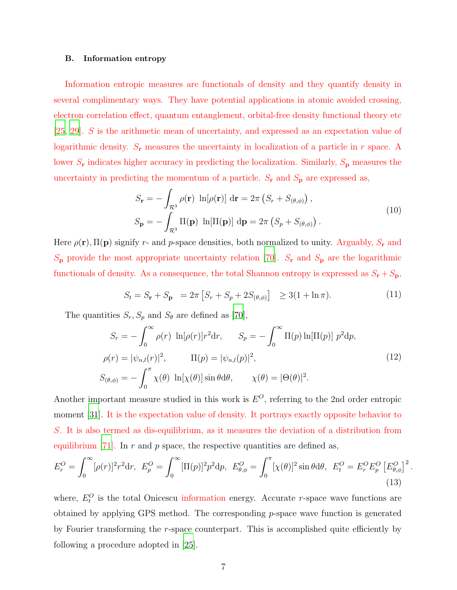#### B. Information entropy

Information entropic measures are functionals of density and they quantify density in several complimentary ways. They have potential applications in atomic avoided crossing, electron correlation effect, quantum entanglement, orbital-free density functional theory etc [\[25,](#page-29-8) [29\]](#page-29-15). S is the arithmetic mean of uncertainty, and expressed as an expectation value of logarithmic density.  $S_r$  measures the uncertainty in localization of a particle in  $r$  space. A lower  $S_r$  indicates higher accuracy in predicting the localization. Similarly,  $S_p$  measures the uncertainty in predicting the momentum of a particle.  $S_{\mathbf{r}}$  and  $S_{\mathbf{p}}$  are expressed as,

<span id="page-6-0"></span>
$$
S_{\mathbf{r}} = -\int_{\mathcal{R}^3} \rho(\mathbf{r}) \ln[\rho(\mathbf{r})] d\mathbf{r} = 2\pi (S_r + S_{(\theta,\phi)}),
$$
  
\n
$$
S_{\mathbf{p}} = -\int_{\mathcal{R}^3} \Pi(\mathbf{p}) \ln[\Pi(\mathbf{p})] d\mathbf{p} = 2\pi (S_p + S_{(\theta,\phi)}).
$$
\n(10)

Here  $\rho(\mathbf{r})$ ,  $\Pi(\mathbf{p})$  signify r- and p-space densities, both normalized to unity. Arguably,  $S_{\mathbf{r}}$  and  $S_{\mathbf{p}}$  provide the most appropriate uncertainty relation [\[70\]](#page-31-8).  $S_{\mathbf{r}}$  and  $S_{\mathbf{p}}$  are the logarithmic functionals of density. As a consequence, the total Shannon entropy is expressed as  $S_r + S_p$ ,

$$
S_t = S_{\mathbf{r}} + S_{\mathbf{p}} = 2\pi \left[ S_r + S_p + 2S_{(\theta,\phi)} \right] \ge 3(1 + \ln \pi). \tag{11}
$$

The quantities  $S_r$ ,  $S_p$  and  $S_\theta$  are defined as [\[70\]](#page-31-8),

$$
S_r = -\int_0^\infty \rho(r) \ln[\rho(r)] r^2 dr, \qquad S_p = -\int_0^\infty \Pi(p) \ln[\Pi(p)] \ p^2 dp,
$$
  

$$
\rho(r) = |\psi_{n,l}(r)|^2, \qquad \Pi(p) = |\psi_{n,l}(p)|^2,
$$
  

$$
S_{(\theta,\phi)} = -\int_0^\pi \chi(\theta) \ln[\chi(\theta)] \sin \theta d\theta, \qquad \chi(\theta) = |\Theta(\theta)|^2.
$$
 (12)

Another important measure studied in this work is  $E^O$ , referring to the 2nd order entropic moment [\[31\]](#page-29-9). It is the expectation value of density. It portrays exactly opposite behavior to S. It is also termed as dis-equilibrium, as it measures the deviation of a distribution from equilibrium [\[71](#page-31-9)]. In r and p space, the respective quantities are defined as,

$$
E_r^O = \int_0^\infty [\rho(r)]^2 r^2 dr, \ E_p^O = \int_0^\infty [\Pi(p)]^2 p^2 dp, \ E_{\theta,\phi}^O = \int_0^\pi [\chi(\theta)]^2 \sin \theta d\theta, \ E_t^O = E_r^O E_p^O [E_{\theta,\phi}^O]^2
$$
\n(13)

.

where,  $E_t^O$  is the total Onicescu information energy. Accurate r-space wave functions are obtained by applying GPS method. The corresponding  $p$ -space wave function is generated by Fourier transforming the r-space counterpart. This is accomplished quite efficiently by following a procedure adopted in [\[25\]](#page-29-8).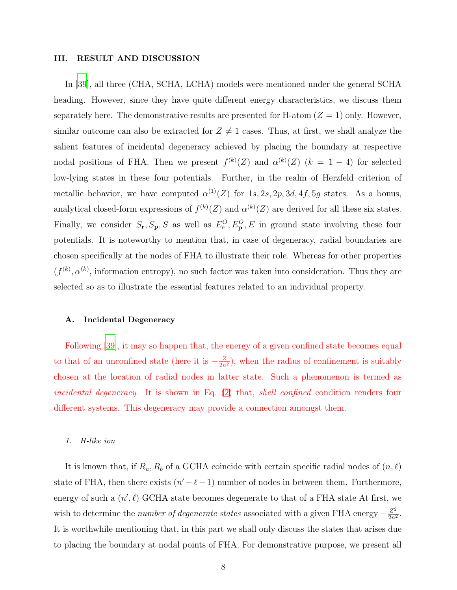## III. RESULT AND DISCUSSION

In [\[39](#page-30-2)], all three (CHA, SCHA, LCHA) models were mentioned under the general SCHA heading. However, since they have quite different energy characteristics, we discuss them separately here. The demonstrative results are presented for H-atom  $(Z = 1)$  only. However, similar outcome can also be extracted for  $Z \neq 1$  cases. Thus, at first, we shall analyze the salient features of incidental degeneracy achieved by placing the boundary at respective nodal positions of FHA. Then we present  $f^{(k)}(Z)$  and  $\alpha^{(k)}(Z)$   $(k = 1 - 4)$  for selected low-lying states in these four potentials. Further, in the realm of Herzfeld criterion of metallic behavior, we have computed  $\alpha^{(1)}(Z)$  for  $1s, 2s, 2p, 3d, 4f, 5g$  states. As a bonus, analytical closed-form expressions of  $f^{(k)}(Z)$  and  $\alpha^{(k)}(Z)$  are derived for all these six states. Finally, we consider  $S_r$ ,  $S_p$ , s as well as  $E_r^O$ ,  $E_p^O$ , s in ground state involving these four potentials. It is noteworthy to mention that, in case of degeneracy, radial boundaries are chosen specifically at the nodes of FHA to illustrate their role. Whereas for other properties  $(f^{(k)}, \alpha^{(k)})$ , information entropy), no such factor was taken into consideration. Thus they are selected so as to illustrate the essential features related to an individual property.

#### A. Incidental Degeneracy

Following [\[39\]](#page-30-2), it may so happen that, the energy of a given confined state becomes equal to that of an unconfined state (here it is  $-\frac{Z}{2n^2}$ ), when the radius of confinement is suitably chosen at the location of radial nodes in latter state. Such a phenomenon is termed as incidental degeneracy. It is shown in Eq. [\(2\)](#page-4-0) that, shell confined condition renders four different systems. This degeneracy may provide a connection amongst them.

#### *1. H-like ion*

It is known that, if  $R_a, R_b$  of a GCHA coincide with certain specific radial nodes of  $(n, \ell)$ state of FHA, then there exists  $(n'-\ell-1)$  number of nodes in between them. Furthermore, energy of such a  $(n', \ell)$  GCHA state becomes degenerate to that of a FHA state At first, we wish to determine the *number of degenerate states* associated with a given FHA energy  $-\frac{Z^2}{2n^2}$  $\frac{Z^2}{2n^2}$ . It is worthwhile mentioning that, in this part we shall only discuss the states that arises due to placing the boundary at nodal points of FHA. For demonstrative purpose, we present all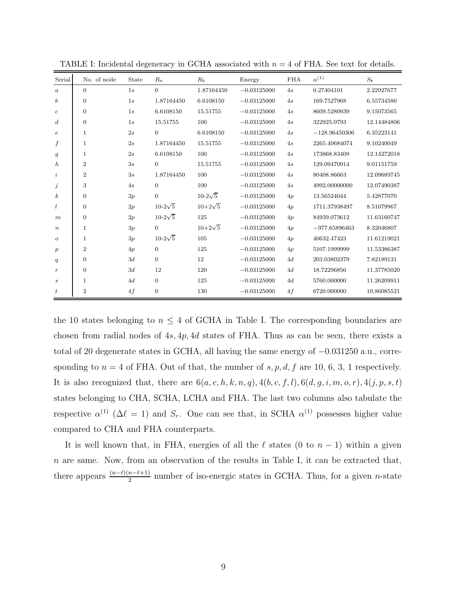| Serial           | No. of node    | State | Ra               | $R_b$            | Energy        | <b>FHA</b> | $\alpha^{(1)}$  | $S_{\bf r}$ |
|------------------|----------------|-------|------------------|------------------|---------------|------------|-----------------|-------------|
| $\alpha$         | $\Omega$       | 1s    | $\Omega$         | 1.87164450       | $-0.03125000$ | 4s         | 0.27404101      | 2.22927677  |
| $\boldsymbol{b}$ | $\overline{0}$ | 1s    | 1.87164450       | 6.6108150        | $-0.03125000$ | 4s         | 169.7527968     | 6.55734580  |
| $\boldsymbol{c}$ | $\overline{0}$ | 1s    | 6.6108150        | 15.51755         | $-0.03125000$ | 4s         | 8609.5280939    | 9.15073565  |
| $\boldsymbol{d}$ | $\overline{0}$ | 1s    | 15.51755         | 100              | $-0.03125000$ | 4s         | 322925.0793     | 12.14484806 |
| $\boldsymbol{e}$ | $\mathbf{1}$   | 2s    | $\overline{0}$   | 6.6108150        | $-0.03125000$ | 4s         | $-128.96450306$ | 6.35223141  |
| f                | $\mathbf{1}$   | 2s    | 1.87164450       | 15.51755         | $-0.03125000$ | 4s         | 2265.40684074   | 9.10240049  |
| $\boldsymbol{g}$ | $\mathbf{1}$   | 2s    | 6.6108150        | 100              | $-0.03125000$ | 4s         | 173868.83409    | 12.14272018 |
| $\boldsymbol{h}$ | $\overline{2}$ | 3s    | $\Omega$         | 15.51755         | $-0.03125000$ | 4s         | 129.09470914    | 9.01151759  |
| $\dot{\imath}$   | $\overline{2}$ | 3s    | 1.87164450       | 100              | $-0.03125000$ | 4s         | 80408.86663     | 12.09689745 |
| $\boldsymbol{j}$ | 3              | 4s    | $\overline{0}$   | 100              | $-0.03125000$ | 4s         | 4992.00000000   | 12.07490387 |
| $\boldsymbol{k}$ | $\overline{0}$ | 2p    | $\overline{0}$   | $10 - 2\sqrt{5}$ | $-0.03125000$ | 4p         | 13.56524044     | 5.42877070  |
| l                | $\Omega$       | 2p    | $10 - 2\sqrt{5}$ | $10+2\sqrt{5}$   | $-0.03125000$ | 4p         | 1711.37938497   | 8.51079967  |
| $\boldsymbol{m}$ | $\Omega$       | 2p    | $10-2\sqrt{5}$   | 125              | $-0.03125000$ | 4p         | 84939.073612    | 11.63160747 |
| $\boldsymbol{n}$ | $\mathbf{1}$   | 3p    | $\overline{0}$   | $10+2\sqrt{5}$   | $-0.03125000$ | 4p         | $-977.65896463$ | 8.32046807  |
| 0                | $\mathbf{1}$   | 3p    | $10 - 2\sqrt{5}$ | 105              | $-0.03125000$ | 4p         | 40632.47423     | 11.61219021 |
| $\boldsymbol{p}$ | $\overline{2}$ | 4p    | $\overline{0}$   | 125              | $-0.03125000$ | 4p         | 5107.1999999    | 11.53386387 |
| q                | $\overline{0}$ | 3d    | $\mathbf{0}$     | 12               | $-0.03125000$ | 4d         | 203.03802379    | 7.82189131  |
| $\,r\,$          | $\overline{0}$ | 3d    | 12               | 120              | $-0.03125000$ | 4d         | 18.72296856     | 11.37785020 |
| $\boldsymbol{s}$ | $\mathbf{1}$   | 4d    | $\mathbf{0}$     | 125              | $-0.03125000$ | 4d         | 5760.000000     | 11.26209911 |
| $t\,$            | $\overline{2}$ | 4f    | $\mathbf{0}$     | 130              | $-0.03125000$ | 4f         | 6720.000000     | 10.86085521 |

TABLE I: Incidental degeneracy in GCHA associated with  $n = 4$  of FHA. See text for details.

the 10 states belonging to  $n \leq 4$  of GCHA in Table I. The corresponding boundaries are chosen from radial nodes of  $4s$ ,  $4p$ ,  $4d$  states of FHA. Thus as can be seen, there exists a total of 20 degenerate states in GCHA, all having the same energy of −0.031250 a.u., corresponding to  $n = 4$  of FHA. Out of that, the number of  $s, p, d, f$  are 10, 6, 3, 1 respectively. It is also recognized that, there are  $6(a, e, h, k, n, q)$ ,  $4(b, c, f, l)$ ,  $6(d, g, i, m, o, r)$ ,  $4(j, p, s, t)$ states belonging to CHA, SCHA, LCHA and FHA. The last two columns also tabulate the respective  $\alpha^{(1)}$  ( $\Delta \ell = 1$ ) and  $S_r$ . One can see that, in SCHA  $\alpha^{(1)}$  possesses higher value compared to CHA and FHA counterparts.

It is well known that, in FHA, energies of all the  $\ell$  states (0 to  $n-1$ ) within a given n are same. Now, from an observation of the results in Table I, it can be extracted that, there appears  $\frac{(n-\ell)(n-\ell+1)}{2}$  number of iso-energic states in GCHA. Thus, for a given *n*-state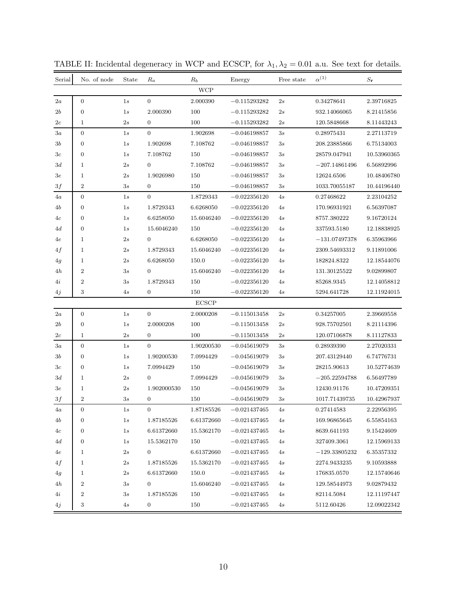| Serial            | No. of node      | State   | $_{Ra}$          | $R_b$        | Energy           | Free state | $\alpha^{(1)}$  | $S_{\bf r}$ |  |
|-------------------|------------------|---------|------------------|--------------|------------------|------------|-----------------|-------------|--|
|                   | <b>WCP</b>       |         |                  |              |                  |            |                 |             |  |
| 2a                | $\boldsymbol{0}$ | 1s      | $\mathbf{0}$     | 2.000390     | $-0.115293282$   | 2s         | 0.34278641      | 2.39716825  |  |
| $_{2b}$           | $\overline{0}$   | 1s      | 2.000390         | 100          | $-0.115293282$   | 2s         | 932.14066065    | 8.21415856  |  |
| $2\ensuremath{c}$ | $\mathbf{1}$     | $2s\,$  | $\boldsymbol{0}$ | 100          | $-0.115293282$   | 2s         | 120.5848668     | 8.11443243  |  |
| 3a                | $\mathbf{0}$     | 1s      | $\mathbf{0}$     | 1.902698     | $-0.046198857$   | 3s         | 0.28975431      | 2.27113719  |  |
| $3b\,$            | $\mathbf{0}$     | 1s      | 1.902698         | 7.108762     | $-0.046198857$   | 3s         | 208.23885866    | 6.75134003  |  |
| 3c                | $\mathbf{0}$     | 1s      | 7.108762         | 150          | $-0.046198857$   | 3s         | 28579.047941    | 10.53960365 |  |
| 3d                | $\mathbf{1}$     | 2s      | $\mathbf{0}$     | 7.108762     | $-0.046198857$   | 3s         | $-207.14861496$ | 6.56892996  |  |
| $3\boldsymbol{e}$ | $\mathbf{1}$     | 2s      | 1.9026980        | 150          | $-0.046198857$   | 3s         | 12624.6506      | 10.48406780 |  |
| $3f\,$            | $\boldsymbol{2}$ | 3s      | $\mathbf{0}$     | 150          | $-0.046198857$   | 3s         | 1033.70055187   | 10.44196440 |  |
| 4a                | $\mathbf{0}$     | 1s      | $\theta$         | 1.8729343    | $-0.022356120$   | 4s         | 0.27468622      | 2.23104252  |  |
| 4b                | $\boldsymbol{0}$ | 1s      | 1.8729343        | 6.6268050    | $-0.022356120$   | 4s         | 170.96931921    | 6.56397087  |  |
| 4c                | $\mathbf{0}$     | 1s      | 6.6258050        | 15.6046240   | $-0.022356120$   | 4s         | 8757.380222     | 9.16720124  |  |
| 4d                | $\mathbf{0}$     | 1s      | 15.6046240       | 150          | $-0.022356120$   | 4s         | 337593.5180     | 12.18838925 |  |
| 4e                | 1                | 2s      | $\overline{0}$   | 6.6268050    | $-0.022356120$   | 4s         | $-131.07497378$ | 6.35963966  |  |
| 4f                | $\mathbf{1}$     | 2s      | 1.8729343        | 15.6046240   | $-0.022356120$   | 4s         | 2309.54693312   | 9.11891006  |  |
| 4g                | 1                | 2s      | 6.6268050        | 150.0        | $-0.022356120$   | 4s         | 182824.8322     | 12.18544076 |  |
| 4h                | $\boldsymbol{2}$ | 3s      | $\mathbf{0}$     | 15.6046240   | $-0.022356120$   | 4s         | 131.30125522    | 9.02899807  |  |
| 4i                | $\boldsymbol{2}$ | 3s      | 1.8729343        | 150          | $-0.022356120$   | 4s         | 85268.9345      | 12.14058812 |  |
| 4j                | 3                | 4s      | $\boldsymbol{0}$ | 150          | $-0.022356120$   | 4s         | 5294.641728     | 12.11924015 |  |
|                   |                  |         |                  | <b>ECSCP</b> |                  |            |                 |             |  |
| 2a                | $\boldsymbol{0}$ | $1s$    | $\mathbf{0}$     | 2.0000208    | $-0.115013458$   | $2s\,$     | 0.34257005      | 2.39669558  |  |
| 2b                | $\mathbf{0}$     | 1s      | 2.0000208        | 100          | $-0.115013458$   | 2s         | 928.75702501    | 8.21114396  |  |
| $_{2c}$           | $\mathbf{1}$     | 2s      | $\boldsymbol{0}$ | 100          | $-0.115013458$   | 2s         | 120.07106878    | 8.11127833  |  |
| 3a                | $\mathbf{0}$     | 1s      | $\theta$         | 1.90200530   | $-0.045619079$   | 3s         | 0.28939390      | 2.27020331  |  |
| 3 <sub>b</sub>    | $\mathbf{0}$     | 1s      | 1.90200530       | 7.0994429    | $-0.045619079$   | 3s         | 207.43129440    | 6.74776731  |  |
| 3c                | $\mathbf{0}$     | 1s      | 7.0994429        | 150          | $-0.045619079$   | 3s         | 28215.90613     | 10.52774639 |  |
| $3d\,$            | $\mathbf 1$      | 2s      | $\overline{0}$   | 7.0994429    | $-0.045619079$   | 3s         | $-205.22594788$ | 6.56497789  |  |
| $_{3e}$           | 1                | 2s      | 1.902000530      | 150          | $-0.045619079$   | 3s         | 12430.91176     | 10.47209351 |  |
| 3f                | $\boldsymbol{2}$ | 3s      | $\boldsymbol{0}$ | 150          | $-0.045619079$   | 3s         | 1017.71439735   | 10.42967937 |  |
| $^{4a}$           | $\boldsymbol{0}$ | 1s      | $\mathbf{0}$     | 1.87185526   | $-0.021437465$   | 4s         | 0.27414583      | 2.22956395  |  |
| 4b                | $\boldsymbol{0}$ | 1s      | 1.87185526       | 6.61372660   | $-0.021437465$   | 4s         | 169.96865645    | 6.55854163  |  |
| 4c                | 0                | 1s      | 6.61372660       | 15.5362170   | $-0.021437465$   | 4s         | 8639.641193     | 9.15424609  |  |
| 4d                | 0                | 1s      | 15.5362170       | 150          | $-0.021437465\,$ | 4s         | 327409.3061     | 12.15969133 |  |
| 4e                | 1                | $_{2s}$ | $\mathbf{0}$     | 6.61372660   | $-0.021437465$   | 4s         | $-129.33805232$ | 6.35357332  |  |
| 4f                | 1                | $2s\,$  | 1.87185526       | 15.5362170   | $-0.021437465$   | 4s         | 2274.9433235    | 9.10593888  |  |
| 4g                | 1                | 2s      | 6.61372660       | 150.0        | $-0.021437465$   | 4s         | 176835.0570     | 12.15740646 |  |
| 4h                | 2                | 3s      | $\boldsymbol{0}$ | 15.6046240   | $-0.021437465$   | 4s         | 129.58544973    | 9.02879432  |  |
| 4i                | 2                | 3s      | 1.87185526       | 150          | $-0.021437465$   | 4s         | 82114.5084      | 12.11197447 |  |
| 4j                | 3                | 4s      | $\boldsymbol{0}$ | 150          | $-0.021437465$   | 4s         | 5112.60426      | 12.09022342 |  |

TABLE II: Incidental degeneracy in WCP and ECSCP, for  $\lambda_1, \lambda_2 = 0.01$  a.u. See text for details.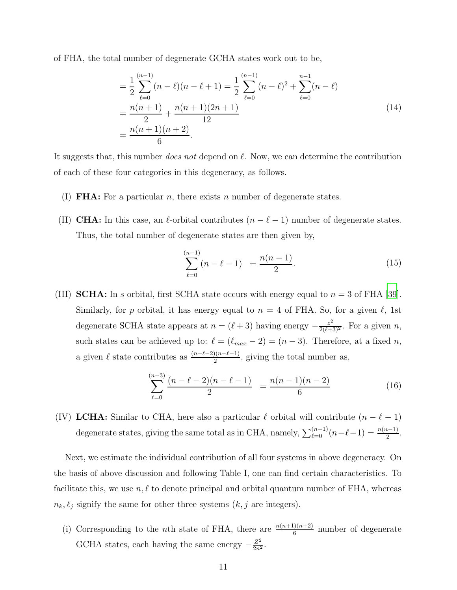of FHA, the total number of degenerate GCHA states work out to be,

$$
= \frac{1}{2} \sum_{\ell=0}^{(n-1)} (n-\ell)(n-\ell+1) = \frac{1}{2} \sum_{\ell=0}^{(n-1)} (n-\ell)^2 + \sum_{\ell=0}^{n-1} (n-\ell)
$$
  
= 
$$
\frac{n(n+1)}{2} + \frac{n(n+1)(2n+1)}{12}
$$
  
= 
$$
\frac{n(n+1)(n+2)}{6}.
$$
 (14)

It suggests that, this number does not depend on  $\ell$ . Now, we can determine the contribution of each of these four categories in this degeneracy, as follows.

- (I) **FHA:** For a particular n, there exists n number of degenerate states.
- (II) **CHA:** In this case, an  $\ell$ -orbital contributes  $(n \ell 1)$  number of degenerate states. Thus, the total number of degenerate states are then given by,

$$
\sum_{\ell=0}^{(n-1)} (n-\ell-1) = \frac{n(n-1)}{2}.
$$
 (15)

(III) **SCHA:** In s orbital, first SCHA state occurs with energy equal to  $n = 3$  of FHA [\[39\]](#page-30-2). Similarly, for p orbital, it has energy equal to  $n = 4$  of FHA. So, for a given  $\ell$ , 1st degenerate SCHA state appears at  $n = (\ell + 3)$  having energy  $-\frac{z^2}{2(\ell+3)^2}$ . For a given n, such states can be achieved up to:  $\ell = (\ell_{max} - 2) = (n - 3)$ . Therefore, at a fixed n, a given  $\ell$  state contributes as  $\frac{(n-\ell-2)(n-\ell-1)}{2}$ , giving the total number as,

$$
\sum_{\ell=0}^{(n-3)} \frac{(n-\ell-2)(n-\ell-1)}{2} = \frac{n(n-1)(n-2)}{6}
$$
 (16)

(IV) LCHA: Similar to CHA, here also a particular  $\ell$  orbital will contribute  $(n - \ell - 1)$ degenerate states, giving the same total as in CHA, namely,  $\sum_{\ell=0}^{(n-1)} (n-\ell-1) = \frac{n(n-1)}{2}$ .

Next, we estimate the individual contribution of all four systems in above degeneracy. On the basis of above discussion and following Table I, one can find certain characteristics. To facilitate this, we use  $n, \ell$  to denote principal and orbital quantum number of FHA, whereas  $n_k, \ell_j$  signify the same for other three systems  $(k, j)$  are integers).

(i) Corresponding to the *n*th state of FHA, there are  $\frac{n(n+1)(n+2)}{6}$  number of degenerate GCHA states, each having the same energy  $-\frac{Z^2}{2n^2}$ .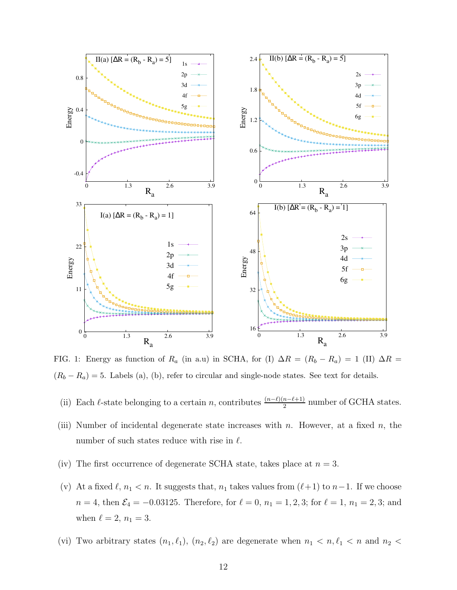

FIG. 1: Energy as function of  $R_a$  (in a.u) in SCHA, for (I)  $\Delta R = (R_b - R_a) = 1$  (II)  $\Delta R =$  $(R_b - R_a) = 5$ . Labels (a), (b), refer to circular and single-node states. See text for details.

- (ii) Each  $\ell$ -state belonging to a certain n, contributes  $\frac{(n-\ell)(n-\ell+1)}{2}$  number of GCHA states.
- (iii) Number of incidental degenerate state increases with n. However, at a fixed n, the number of such states reduce with rise in  $\ell$ .
- (iv) The first occurrence of degenerate SCHA state, takes place at  $n = 3$ .
- (v) At a fixed  $\ell$ ,  $n_1 < n$ . It suggests that,  $n_1$  takes values from  $(\ell+1)$  to  $n-1$ . If we choose  $n = 4$ , then  $\mathcal{E}_4 = -0.03125$ . Therefore, for  $\ell = 0$ ,  $n_1 = 1, 2, 3$ ; for  $\ell = 1$ ,  $n_1 = 2, 3$ ; and when  $\ell = 2, n_1 = 3$ .
- (vi) Two arbitrary states  $(n_1, \ell_1)$ ,  $(n_2, \ell_2)$  are degenerate when  $n_1 < n, \ell_1 < n$  and  $n_2 <$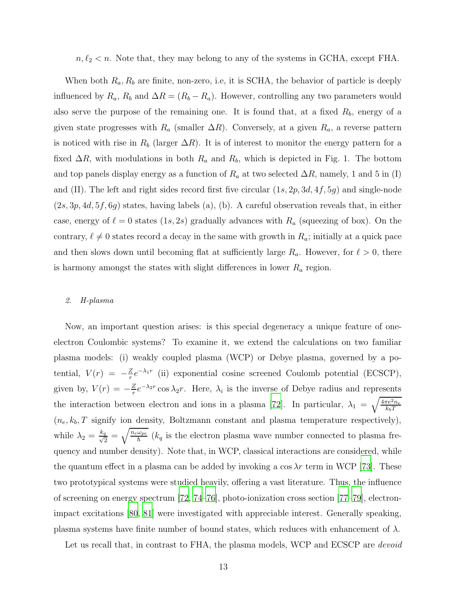# $n, \ell_2 < n$ . Note that, they may belong to any of the systems in GCHA, except FHA.

When both  $R_a, R_b$  are finite, non-zero, i.e, it is SCHA, the behavior of particle is deeply influenced by  $R_a$ ,  $R_b$  and  $\Delta R = (R_b - R_a)$ . However, controlling any two parameters would also serve the purpose of the remaining one. It is found that, at a fixed  $R_b$ , energy of a given state progresses with  $R_a$  (smaller  $\Delta R$ ). Conversely, at a given  $R_a$ , a reverse pattern is noticed with rise in  $R_b$  (larger  $\Delta R$ ). It is of interest to monitor the energy pattern for a fixed  $\Delta R$ , with modulations in both  $R_a$  and  $R_b$ , which is depicted in Fig. 1. The bottom and top panels display energy as a function of  $R_a$  at two selected  $\Delta R$ , namely, 1 and 5 in (I) and (II). The left and right sides record first five circular  $(1s, 2p, 3d, 4f, 5g)$  and single-node  $(2s, 3p, 4d, 5f, 6g)$  states, having labels (a), (b). A careful observation reveals that, in either case, energy of  $\ell = 0$  states  $(1s, 2s)$  gradually advances with  $R_a$  (squeezing of box). On the contrary,  $\ell \neq 0$  states record a decay in the same with growth in  $R_a$ ; initially at a quick pace and then slows down until becoming flat at sufficiently large  $R_a$ . However, for  $\ell > 0$ , there is harmony amongst the states with slight differences in lower  $R_a$  region.

#### *2. H-plasma*

Now, an important question arises: is this special degeneracy a unique feature of oneelectron Coulombic systems? To examine it, we extend the calculations on two familiar plasma models: (i) weakly coupled plasma (WCP) or Debye plasma, governed by a potential,  $V(r) = -\frac{Z}{r}$  $\frac{Z}{r}e^{-\lambda_1 r}$  (ii) exponential cosine screened Coulomb potential (ECSCP), given by,  $V(r) = -\frac{Z}{r}$  $\frac{Z}{r}e^{-\lambda_2 r}$  cos  $\lambda_2 r$ . Here,  $\lambda_i$  is the inverse of Debye radius and represents the interaction between electron and ions in a plasma [\[72](#page-31-10)]. In particular,  $\lambda_1 = \sqrt{\frac{4\pi e^2 n_e}{k_B T}}$  $k_bT$  $(n_e, k_b, T \text{ signify ion density}, \text{ Boltzmann constant and plasma temperature respectively}),$ while  $\lambda_2 = \frac{k_q}{\sqrt{3}}$  $\frac{q}{2} = \sqrt{\frac{n_e \omega_{pe}}{\hbar}}$  ( $k_q$  is the electron plasma wave number connected to plasma frequency and number density). Note that, in WCP, classical interactions are considered, while the quantum effect in a plasma can be added by invoking a cos  $\lambda r$  term in WCP [\[73\]](#page-31-11). These two prototypical systems were studied heavily, offering a vast literature. Thus, the influence of screening on energy spectrum [\[72,](#page-31-10) [74](#page-31-12)[–76\]](#page-31-13), photo-ionization cross section [\[77](#page-31-14)[–79](#page-31-15)], electronimpact excitations [\[80,](#page-31-16) [81\]](#page-31-17) were investigated with appreciable interest. Generally speaking, plasma systems have finite number of bound states, which reduces with enhancement of  $\lambda$ .

Let us recall that, in contrast to FHA, the plasma models, WCP and ECSCP are *devoid*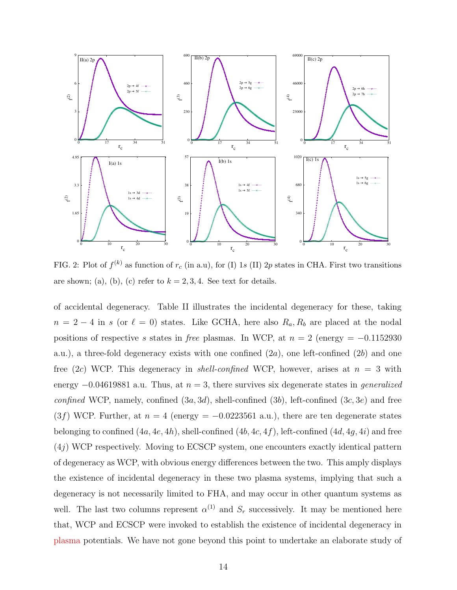

FIG. 2: Plot of  $f^{(k)}$  as function of  $r_c$  (in a.u), for (I) 1s (II) 2p states in CHA. First two transitions are shown; (a), (b), (c) refer to  $k = 2, 3, 4$ . See text for details.

of accidental degeneracy. Table II illustrates the incidental degeneracy for these, taking  $n = 2 - 4$  in s (or  $\ell = 0$ ) states. Like GCHA, here also  $R_a, R_b$  are placed at the nodal positions of respective s states in free plasmas. In WCP, at  $n = 2$  (energy = -0.1152930) a.u.), a three-fold degeneracy exists with one confined  $(2a)$ , one left-confined  $(2b)$  and one free (2c) WCP. This degeneracy in *shell-confined* WCP, however, arises at  $n = 3$  with energy  $-0.04619881$  a.u. Thus, at  $n = 3$ , there survives six degenerate states in *generalized* confined WCP, namely, confined  $(3a, 3d)$ , shell-confined  $(3b)$ , left-confined  $(3c, 3e)$  and free (3f) WCP. Further, at  $n = 4$  (energy = -0.0223561 a.u.), there are ten degenerate states belonging to confined  $(4a, 4e, 4h)$ , shell-confined  $(4b, 4c, 4f)$ , left-confined  $(4d, 4g, 4i)$  and free  $(4j)$  WCP respectively. Moving to ECSCP system, one encounters exactly identical pattern of degeneracy as WCP, with obvious energy differences between the two. This amply displays the existence of incidental degeneracy in these two plasma systems, implying that such a degeneracy is not necessarily limited to FHA, and may occur in other quantum systems as well. The last two columns represent  $\alpha^{(1)}$  and  $S_r$  successively. It may be mentioned here that, WCP and ECSCP were invoked to establish the existence of incidental degeneracy in plasma potentials. We have not gone beyond this point to undertake an elaborate study of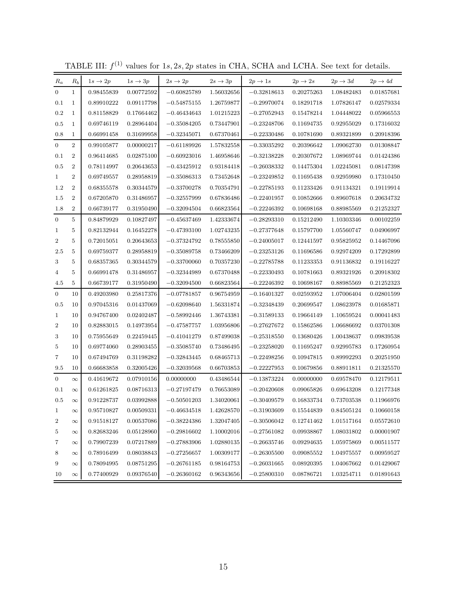| Ra               | $R_b$            | $1s \rightarrow 2p$ | $1s \rightarrow 3p$ | $2s \rightarrow 2p$ | $2s \rightarrow 3p$ | $2p \rightarrow 1s$ | $2p \rightarrow 2s$ | $2p \rightarrow 3d$ | $2p \rightarrow 4d$ |
|------------------|------------------|---------------------|---------------------|---------------------|---------------------|---------------------|---------------------|---------------------|---------------------|
| $\overline{0}$   | $\mathbf{1}$     | 0.98455839          | 0.00772592          | $-0.60825789$       | 1.56032656          | $-0.32818613$       | 0.20275263          | 1.08482483          | 0.01857681          |
| 0.1              | 1                | 0.89910222          | 0.09117798          | $-0.54875155$       | 1.26759877          | $-0.29970074$       | 0.18291718          | 1.07826147          | 0.02579334          |
| 0.2              | $\mathbf{1}$     | 0.81158829          | 0.17664462          | $-0.46434643$       | 1.01215223          | $-0.27052943$       | 0.15478214          | 1.04448022          | 0.05966553          |
| 0.5              | $\mathbf{1}$     | 0.69746119          | 0.28964404          | $-0.35084205$       | 0.73447901          | $-0.23248706$       | 0.11694735          | 0.92955029          | 0.17316032          |
| 0.8              | $\mathbf{1}$     | 0.66991458          | 0.31699958          | $-0.32345071$       | 0.67370461          | $-0.22330486$       | 0.10781690          | 0.89321899          | 0.20918396          |
| $\overline{0}$   | $\overline{2}$   | 0.99105877          | 0.00000217          | $-0.61189926$       | 1.57832558          | $-0.33035292$       | 0.20396642          | 1.09062730          | 0.01308847          |
| 0.1              | $\boldsymbol{2}$ | 0.96414685          | 0.02875100          | $-0.60923016$       | 1.46958646          | $-0.32138228$       | 0.20307672          | 1.08969744          | 0.01424386          |
| 0.5              | $\sqrt{2}$       | 0.78114997          | 0.20643653          | $-0.43425912$       | 0.93184418          | $-0.26038332$       | 0.14475304          | 1.02245081          | 0.08147398          |
| $\mathbf{1}$     | $\,2$            | 0.69749557          | 0.28958819          | $-0.35086313$       | 0.73452648          | $-0.23249852$       | 0.11695438          | 0.92959980          | 0.17310450          |
| 1.2              | $\boldsymbol{2}$ | 0.68355578          | 0.30344579          | $-0.33700278$       | 0.70354791          | $-0.22785193$       | 0.11233426          | 0.91134321          | 0.19119914          |
| $1.5\,$          | $\boldsymbol{2}$ | 0.67205870          | 0.31486957          | $-0.32557999$       | 0.67836486          | $-0.22401957$       | 0.10852666          | 0.89607618          | 0.20634732          |
| 1.8              | $\boldsymbol{2}$ | 0.66739177          | 0.31950490          | $-0.32094504$       | 0.66823564          | $-0.22246392$       | 0.10698168          | 0.88985569          | 0.21252327          |
| $\overline{0}$   | 5                | 0.84879929          | 0.10827497          | $-0.45637469$       | 1.42333674          | $-0.28293310$       | 0.15212490          | 1.10303346          | 0.00102259          |
| 1                | 5                | 0.82132944          | 0.16452278          | $-0.47393100$       | 1.02743235          | $-0.27377648$       | 0.15797700          | 1.05560747          | 0.04906997          |
| $\boldsymbol{2}$ | 5                | 0.72015051          | 0.20643653          | $-0.37324792$       | 0.78555850          | $-0.24005017$       | 0.12441597          | $\,0.95825952\,$    | 0.14467096          |
| 2.5              | 5                | 0.69759377          | 0.28958819          | $-0.35089758$       | 0.73466209          | $-0.23253126$       | 0.11696586          | 0.92974209          | 0.17292899          |
| 3                | 5                | 0.68357365          | 0.30344579          | $-0.33700060$       | 0.70357230          | $-0.22785788$       | 0.11233353          | 0.91136832          | 0.19116227          |
| 4                | 5                | 0.66991478          | 0.31486957          | $-0.32344989$       | 0.67370488          | $-0.22330493$       | 0.10781663          | 0.89321926          | 0.20918302          |
| 4.5              | $\bf 5$          | 0.66739177          | 0.31950490          | $-0.32094500$       | 0.66823564          | $-0.22246392$       | 0.10698167          | 0.88985569          | 0.21252323          |
| $\overline{0}$   | 10               | 0.49203980          | 0.25817376          | $-0.07781857$       | 0.96754959          | $-0.16401327$       | 0.02593952          | 1.07006404          | 0.02801599          |
| 0.5              | $10\,$           | 0.97045316          | 0.01437069          | $-0.62098640$       | 1.56331874          | $-0.32348439$       | 0.20699547          | 1.08623978          | 0.01685871          |
| $\mathbf{1}$     | 10               | 0.94767400          | 0.02402487          | $-0.58992446$       | 1.36743381          | $-0.31589133$       | 0.19664149          | 1.10659524          | 0.00041483          |
| $\boldsymbol{2}$ | 10               | 0.82883015          | 0.14973954          | $-0.47587757$       | 1.03956806          | $-0.27627672$       | 0.15862586          | 1.06686692          | 0.03701308          |
| 3                | 10               | 0.75955649          | 0.22459445          | $-0.41041279$       | 0.87499038          | $-0.25318550$       | 0.13680426          | 1.00438637          | 0.09839538          |
| 5                | 10               | 0.69774060          | 0.28903455          | $-0.35085740$       | 0.73486495          | $-0.23258020$       | 0.11695247          | 0.92995783          | 0.17260954          |
| 7                | 10               | 0.67494769          | 0.31198282          | $-0.32843445$       | 0.68465713          | $-0.22498256$       | 0.10947815          | 0.89992293          | 0.20251950          |
| 9.5              | 10               | 0.66683858          | 0.32005426          | $-0.32039568$       | 0.66703853          | $-0.22227953$       | 0.10679856          | 0.88911811          | 0.21325570          |
| $\overline{0}$   | $\infty$         | 0.41619672          | 0.07910156          | 0.00000000          | 0.43486544          | $-0.13873224$       | 0.00000000          | 0.69578470          | 0.12179511          |
| 0.1              | $\infty$         | 0.61261825          | 0.08716313          | $-0.27197479$       | 0.76653089          | $-0.20420608$       | 0.09065826          | 0.69643208          | 0.12177348          |
| 0.5              | $\infty$         | 0.91228737          | 0.03992888          | $-0.50501203$       | 1.34020061          | $-0.30409579$       | 0.16833734          | 0.73703538          | 0.11966976          |
| 1                | $\infty$         | 0.95710827          | 0.00509331          | $-0.46634518$       | 1.42628570          | $-0.31903609$       | 0.15544839          | 0.84505124          | 0.10660158          |
| $\boldsymbol{2}$ | $\infty$         | 0.91518127          | 0.00537086          | $-0.38224386$       | 1.32047405          | $-0.30506042$       | 0.12741462          | 1.01517164          | 0.05572610          |
| 5                | $\infty$         | 0.82683246          | 0.05128960          | $-0.29816602$       | 1.10002016          | $-0.27561082$       | 0.09938867          | 1.08031802          | 0.00001907          |
| 7                | $\infty$         | 0.79907239          | 0.07217889          | $-0.27883906$       | 1.02880135          | $-0.26635746$       | 0.09294635          | 1.05975869          | 0.00511577          |
| 8                | $\infty$         | 0.78916499          | 0.08038843          | $-0.27256657$       | 1.00309177          | $-0.26305500$       | 0.09085552          | 1.04975557          | 0.00959527          |
| 9                | $\infty$         | 0.78094995          | 0.08751295          | $-0.26761185$       | 0.98164753          | $-0.26031665$       | 0.08920395          | 1.04067662          | 0.01429067          |
| 10               | $\infty$         | 0.77400929          | 0.09376540          | $-0.26360162$       | 0.96343656          | $-0.25800310$       | 0.08786721          | 1.03254711          | 0.01891643          |

TABLE III:  $f^{(1)}$  values for 1s, 2s, 2p states in CHA, SCHA and LCHA. See text for details.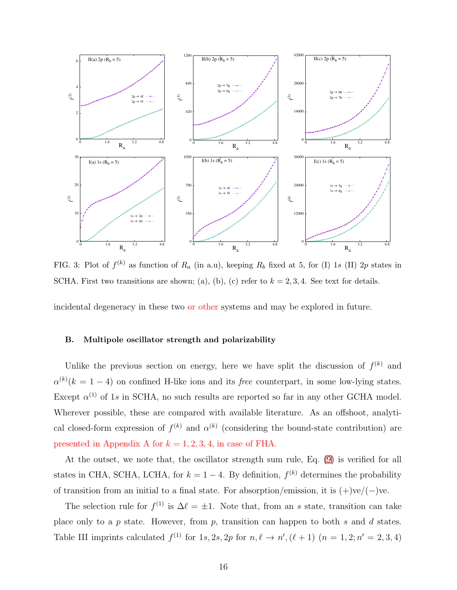

FIG. 3: Plot of  $f^{(k)}$  as function of  $R_a$  (in a.u), keeping  $R_b$  fixed at 5, for (I) 1s (II) 2p states in SCHA. First two transitions are shown; (a), (b), (c) refer to  $k = 2, 3, 4$ . See text for details.

incidental degeneracy in these two or other systems and may be explored in future.

#### B. Multipole oscillator strength and polarizability

Unlike the previous section on energy, here we have split the discussion of  $f^{(k)}$  and  $\alpha^{(k)}(k=1-4)$  on confined H-like ions and its free counterpart, in some low-lying states. Except  $\alpha^{(1)}$  of 1s in SCHA, no such results are reported so far in any other GCHA model. Wherever possible, these are compared with available literature. As an offshoot, analytical closed-form expression of  $f^{(k)}$  and  $\alpha^{(k)}$  (considering the bound-state contribution) are presented in Appendix A for  $k = 1, 2, 3, 4$ , in case of FHA.

At the outset, we note that, the oscillator strength sum rule, Eq. [\(9\)](#page-5-1) is verified for all states in CHA, SCHA, LCHA, for  $k = 1 - 4$ . By definition,  $f^{(k)}$  determines the probability of transition from an initial to a final state. For absorption/emission, it is  $(+)ve/(-)ve$ .

The selection rule for  $f^{(1)}$  is  $\Delta \ell = \pm 1$ . Note that, from an s state, transition can take place only to a p state. However, from p, transition can happen to both s and d states. Table III imprints calculated  $f^{(1)}$  for  $1s, 2s, 2p$  for  $n, \ell \to n', (\ell+1)$   $(n = 1, 2; n' = 2, 3, 4)$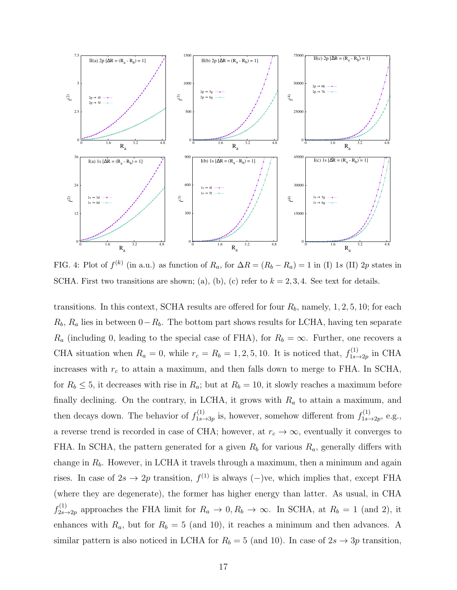

FIG. 4: Plot of  $f^{(k)}$  (in a.u.) as function of  $R_a$ , for  $\Delta R = (R_b - R_a) = 1$  in (I) 1s (II) 2p states in SCHA. First two transitions are shown; (a), (b), (c) refer to  $k = 2, 3, 4$ . See text for details.

transitions. In this context, SCHA results are offered for four  $R_b$ , namely, 1, 2, 5, 10; for each  $R_b$ ,  $R_a$  lies in between  $0-R_b$ . The bottom part shows results for LCHA, having ten separate  $R_a$  (including 0, leading to the special case of FHA), for  $R_b = \infty$ . Further, one recovers a CHA situation when  $R_a = 0$ , while  $r_c = R_b = 1, 2, 5, 10$ . It is noticed that,  $f_{1s}^{(1)}$  $\lim_{1s\to 2p}$  in CHA increases with  $r_c$  to attain a maximum, and then falls down to merge to FHA. In SCHA, for  $R_b \leq 5$ , it decreases with rise in  $R_a$ ; but at  $R_b = 10$ , it slowly reaches a maximum before finally declining. On the contrary, in LCHA, it grows with  $R_a$  to attain a maximum, and then decays down. The behavior of  $f_{1s}^{(1)}$  $f_{1s\rightarrow 3p}^{(1)}$  is, however, somehow different from  $f_{1s}^{(1)}$  $x_{1s\to 2p}^{(1)}$ , e.g., a reverse trend is recorded in case of CHA; however, at  $r_c \to \infty$ , eventually it converges to FHA. In SCHA, the pattern generated for a given  $R_b$  for various  $R_a$ , generally differs with change in  $R_b$ . However, in LCHA it travels through a maximum, then a minimum and again rises. In case of  $2s \to 2p$  transition,  $f^{(1)}$  is always (-)ve, which implies that, except FHA (where they are degenerate), the former has higher energy than latter. As usual, in CHA  $f_{2s-}^{(1)}$  $2s\rightarrow 2p$  approaches the FHA limit for  $R_a \rightarrow 0, R_b \rightarrow \infty$ . In SCHA, at  $R_b = 1$  (and 2), it enhances with  $R_a$ , but for  $R_b = 5$  (and 10), it reaches a minimum and then advances. A similar pattern is also noticed in LCHA for  $R_b = 5$  (and 10). In case of  $2s \rightarrow 3p$  transition,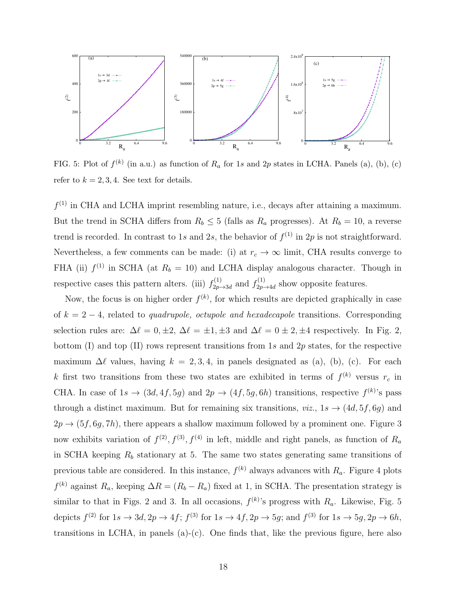

FIG. 5: Plot of  $f^{(k)}$  (in a.u.) as function of  $R_a$  for 1s and 2p states in LCHA. Panels (a), (b), (c) refer to  $k = 2, 3, 4$ . See text for details.

 $f<sup>(1)</sup>$  in CHA and LCHA imprint resembling nature, i.e., decays after attaining a maximum. But the trend in SCHA differs from  $R_b \leq 5$  (falls as  $R_a$  progresses). At  $R_b = 10$ , a reverse trend is recorded. In contrast to 1s and 2s, the behavior of  $f^{(1)}$  in 2p is not straightforward. Nevertheless, a few comments can be made: (i) at  $r_c \to \infty$  limit, CHA results converge to FHA (ii)  $f^{(1)}$  in SCHA (at  $R_b = 10$ ) and LCHA display analogous character. Though in respective cases this pattern alters. (iii)  $f_{2n}^{(1)}$  $f_{2p\to 3d}^{(1)}$  and  $f_{2p\to 3d}^{(1)}$  $2p\rightarrow 4d$  show opposite features.

Now, the focus is on higher order  $f^{(k)}$ , for which results are depicted graphically in case of  $k = 2 - 4$ , related to *quadrupole, octupole and hexadecapole* transitions. Corresponding selection rules are:  $\Delta \ell = 0, \pm 2, \Delta \ell = \pm 1, \pm 3$  and  $\Delta \ell = 0, \pm 2, \pm 4$  respectively. In Fig. 2, bottom (I) and top (II) rows represent transitions from 1s and 2p states, for the respective maximum  $\Delta \ell$  values, having  $k = 2, 3, 4$ , in panels designated as (a), (b), (c). For each k first two transitions from these two states are exhibited in terms of  $f^{(k)}$  versus  $r_c$  in CHA. In case of  $1s \rightarrow (3d, 4f, 5g)$  and  $2p \rightarrow (4f, 5g, 6h)$  transitions, respective  $f^{(k)}$ 's pass through a distinct maximum. But for remaining six transitions,  $viz, 1s \rightarrow (4d, 5f, 6g)$  and  $2p \rightarrow (5f, 6g, 7h)$ , there appears a shallow maximum followed by a prominent one. Figure 3 now exhibits variation of  $f^{(2)}$ ,  $f^{(3)}$ ,  $f^{(4)}$  in left, middle and right panels, as function of  $R_a$ in SCHA keeping  $R_b$  stationary at 5. The same two states generating same transitions of previous table are considered. In this instance,  $f^{(k)}$  always advances with  $R_a$ . Figure 4 plots  $f^{(k)}$  against  $R_a$ , keeping  $\Delta R = (R_b - R_a)$  fixed at 1, in SCHA. The presentation strategy is similar to that in Figs. 2 and 3. In all occasions,  $f^{(k)}$ 's progress with  $R_a$ . Likewise, Fig. 5 depicts  $f^{(2)}$  for  $1s \to 3d$ ,  $2p \to 4f$ ;  $f^{(3)}$  for  $1s \to 4f$ ,  $2p \to 5g$ ; and  $f^{(3)}$  for  $1s \to 5g$ ,  $2p \to 6h$ , transitions in LCHA, in panels  $(a)-(c)$ . One finds that, like the previous figure, here also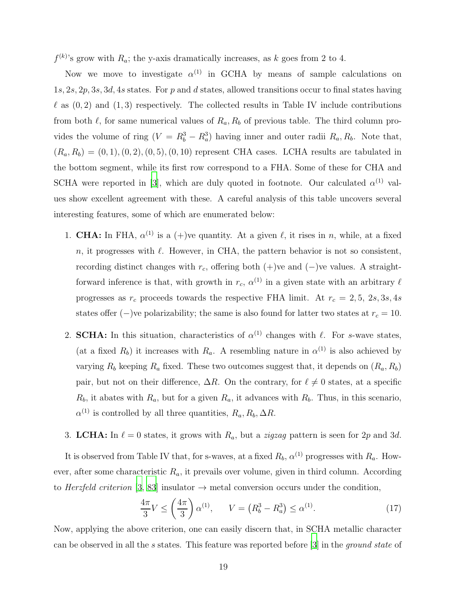$f^{(k)}$ 's grow with  $R_a$ ; the y-axis dramatically increases, as k goes from 2 to 4.

Now we move to investigate  $\alpha^{(1)}$  in GCHA by means of sample calculations on  $1s, 2s, 2p, 3s, 3d, 4s$  states. For p and d states, allowed transitions occur to final states having  $\ell$  as  $(0, 2)$  and  $(1, 3)$  respectively. The collected results in Table IV include contributions from both  $\ell$ , for same numerical values of  $R_a, R_b$  of previous table. The third column provides the volume of ring  $(V = R_b^3 - R_a^3)$  having inner and outer radii  $R_a, R_b$ . Note that,  $(R_a, R_b) = (0, 1), (0, 2), (0, 5), (0, 10)$  represent CHA cases. LCHA results are tabulated in the bottom segment, while its first row correspond to a FHA. Some of these for CHA and SCHA were reported in [\[3](#page-28-2)], which are duly quoted in footnote. Our calculated  $\alpha^{(1)}$  values show excellent agreement with these. A careful analysis of this table uncovers several interesting features, some of which are enumerated below:

- 1. **CHA:** In FHA,  $\alpha^{(1)}$  is a  $(+)$ ve quantity. At a given  $\ell$ , it rises in n, while, at a fixed n, it progresses with  $\ell$ . However, in CHA, the pattern behavior is not so consistent, recording distinct changes with  $r_c$ , offering both (+)ve and (−)ve values. A straightforward inference is that, with growth in  $r_c$ ,  $\alpha^{(1)}$  in a given state with an arbitrary  $\ell$ progresses as  $r_c$  proceeds towards the respective FHA limit. At  $r_c = 2, 5, 2s, 3s, 4s$ states offer (−)ve polarizability; the same is also found for latter two states at  $r_c = 10$ .
- 2. **SCHA:** In this situation, characteristics of  $\alpha^{(1)}$  changes with  $\ell$ . For s-wave states, (at a fixed  $R_b$ ) it increases with  $R_a$ . A resembling nature in  $\alpha^{(1)}$  is also achieved by varying  $R_b$  keeping  $R_a$  fixed. These two outcomes suggest that, it depends on  $(R_a, R_b)$ pair, but not on their difference,  $\Delta R$ . On the contrary, for  $\ell \neq 0$  states, at a specific  $R_b$ , it abates with  $R_a$ , but for a given  $R_a$ , it advances with  $R_b$ . Thus, in this scenario,  $\alpha^{(1)}$  is controlled by all three quantities,  $R_a, R_b, \Delta R$ .
- 3. LCHA: In  $\ell = 0$  states, it grows with  $R_a$ , but a *zigzag* pattern is seen for 2p and 3d.

It is observed from Table IV that, for s-waves, at a fixed  $R_b$ ,  $\alpha^{(1)}$  progresses with  $R_a$ . However, after some characteristic  $R_a$ , it prevails over volume, given in third column. According to Herzfeld criterion [\[3](#page-28-2), [83](#page-31-18)] insulator  $\rightarrow$  metal conversion occurs under the condition,

$$
\frac{4\pi}{3}V \le \left(\frac{4\pi}{3}\right)\alpha^{(1)}, \qquad V = \left(R_b^3 - R_a^3\right) \le \alpha^{(1)}.
$$
\n(17)

Now, applying the above criterion, one can easily discern that, in SCHA metallic character can be observed in all the s states. This feature was reported before [\[3\]](#page-28-2) in the ground state of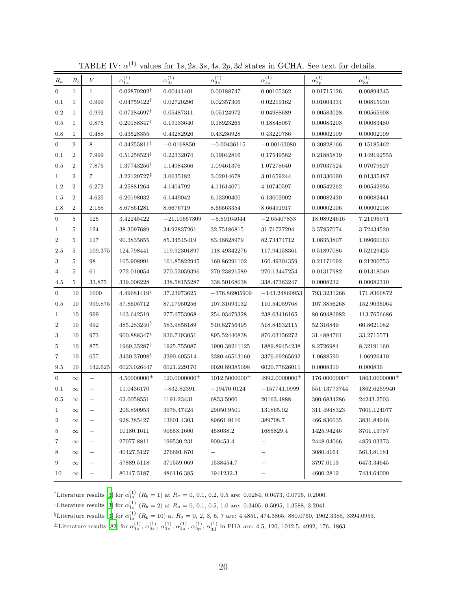|                  |                  |                   |                         |                     | $\mathbf{r}$         |                      |                     |                      |
|------------------|------------------|-------------------|-------------------------|---------------------|----------------------|----------------------|---------------------|----------------------|
| $R_a$            | $R_b$            | V                 | $\alpha_{1s}^{(1)}$     | $\alpha_{2s}^{(1)}$ | $\alpha_{3s}^{(1)}$  | $\alpha_{4s}^{(1)}$  | $\alpha_{2p}^{(1)}$ | $\alpha^{(1)}_{3d}$  |
| $\mathbf{0}$     | $\mathbf{1}$     | $\mathbf{1}$      | $0.02879202^{\dagger}$  | 0.00441401          | 0.00188747           | 0.00105362           | 0.01715126          | 0.00894345           |
| 0.1              | $\mathbf{1}$     | 0.999             | $0.04759422^{\dagger}$  | 0.02720296          | 0.02357306           | 0.02219162           | 0.01004334          | 0.00815930           |
| $0.2\,$          | $\mathbf{1}$     | 0.992             | $0.07284697^{\dagger}$  | 0.05487311          | 0.05124972           | 0.04988689           | 0.00583028          | 0.00565908           |
| 0.5              | $\mathbf{1}$     | 0.875             | $0.20188347^{\dagger}$  | 0.19133640          | 0.18923265           | 0.18848057           | 0.00083203          | 0.00083480           |
| 0.8              | $\mathbf 1$      | 0.488             | 0.43528355              | 0.43282926          | 0.43236928           | 0.43220786           | 0.00002109          | 0.00002109           |
| $\overline{0}$   | $\overline{2}$   | 8                 | $0.34255811^{\ddagger}$ | $-0.0168850$        | $-0.00436115$        | $-0.00163080$        | 0.30828166          | 0.15185462           |
| 0.1              | $\overline{2}$   | 7.999             | $0.51258523^{\ddagger}$ | 0.22332074          | 0.19042816           | 0.17549582           | 0.21885819          | 0.149192555          |
| 0.5              | $\overline{2}$   | 7.875             | 1.37743250 <sup>‡</sup> | 1.14984366          | 1.09461376           | 1.07278640           | 0.07037524          | 0.07079627           |
| $\mathbf{1}$     | $\boldsymbol{2}$ | $\overline{7}$    | 3.22129727 <sup>‡</sup> | 3.0635182           | 3.02914678           | 3.01659244           | 0.01330690          | 0.01335487           |
| 1.2              | $\overline{2}$   | 6.272             | 4.25881264              | 4.1404792           | 4.11614071           | 4.10740597           | 0.00542262          | 0.00542936           |
| 1.5              | $\overline{2}$   | 4.625             | 6.20198032              | 6.1449042           | 6.13390400           | 6.13002002           | 0.00082430          | 0.00082441           |
| 1.8              | $\overline{2}$   | 2.168             | 8.67861281              | 8.6676719           | 8.66563354           | 8.66491917           | 0.00002106          | 0.00002108           |
| $\mathbf{0}$     | $\overline{5}$   | 125               | 3.42245422              | $-21.10657309$      | $-5.69164044$        | $-2.65407833$        | 18.08924616         | 7.21196971           |
| $\mathbf{1}$     | 5                | 124               | 38.3097689              | 34.92837261         | 32.75186815          | 31.71727294          | 3.57857074          | 3.72434520           |
| $\boldsymbol{2}$ | 5                | 117               | 90.3835855              | 85.34545419         | 83.48828979          | 82.73474712          | 1.08353807          | 1.09660163           |
| 2.5              | 5                | 109.375           | 124.798441              | 119.92301897        | 118.49342276         | 117.94158361         | 0.51897086          | 0.52129425           |
| 3                | 5                | 98                | 165.908991              | 161.85822945        | 160.86291102         | 160.49304359         | 0.21171092          | 0.21200753           |
| 4                | 5                | 61                | 272.010054              | 270.53059396        | 270.23821589         | 270.13447254         | 0.01317982          | 0.01318049           |
| 4.5              | $\overline{5}$   | 33.875            | 339.006228              | 338.58155287        | 338.50168038         | 338.47363247         | 0.0008232           | 0.00082310           |
| $\overline{0}$   | 10               | 1000              | 4.49681419              | 37.23973625         | $-376.86905909$      | $-143.24860953$      | 793.3231266         | 171.8366872          |
| 0.5              | 10               | 999.875           | 57.8605712              | 87.17950256         | 107.31693132         | 110.54059768         | 107.3856268         | 152.9035064          |
| $\mathbf{1}$     | 10               | 999               | 163.642519              | 277.6753968         | 254.03479328         | 238.63416165         | 80.69486982         | 113.7656686          |
| $\boldsymbol{2}$ | 10               | 992               | 485.283240 <sup>§</sup> | 583.9858189         | 540.82756495         | 518.84632115         | 52.316849           | 60.8621082           |
| 3                | 10               | 973               | 900.888347\             | 936.7193051         | 895.52440838         | 876.03156272         | 31.4884761          | 33.2715571           |
| 5                | 10               | 875               | 1969.352878             | 1925.755087         | 1900.38211125        | 1889.89454238        | 8.2726984           | 8.32191160           |
| 7                | 10               | 657               | 3430.37098 <sup>§</sup> | 3390.605514         | 3380.46513160        | 3376.69265692        | 1.0688590           | 1.06926410           |
| 9.5              | 10               | 142.625           | 6023.026447             | 6021.229170         | 6020.89385098        | 6020.77626011        | 0.0008310           | 0.000836             |
| $\boldsymbol{0}$ | $\infty$         |                   | $4.50000000^{\pm}$      | $120.0000000^{\pm}$ | $1012.5000000^{\pm}$ | $4992.0000000^{\pm}$ | $176.0000000^{\pm}$ | $1863.0000000^{\pm}$ |
| 0.1              | $\infty$         | $\qquad \qquad -$ | 11.0436170              | $-832.82391$        | $-19470.0124$        | $-157741.0999$       | 551.13773744        | 1862.6259940         |
| 0.5              | $\infty$         |                   | 62.0058551              | 1191.23431          | 6853.5900            | 20163.4888           | 300.6834286         | 24243.2503           |
| 1                | $\infty$         |                   | 206.890953              | 3978.47424          | 29050.9501           | 131865.02            | 311.4948323         | 7601.124077          |
| 2                | $\infty$         | —                 | 928.385427              | 13601.4303          | 89661.9116           | 389708.7             | 466.836635          | 3831.84946           |
| 5                | $\infty$         |                   | 10180.1611              | 90653.1600          | 458038.2             | 1685829.4            | 1425.94246          | 3701.13787           |
| 7                | $\infty$         | —                 | 27077.8811              | 199530.231          | 900453.4             |                      | 2448.04066          | 4859.03373           |
| 8                | $\infty$         | —                 | 40427.5127              | 276691.870          | -                    |                      | 3080.4164           | 5613.81181           |
| 9                | $\infty$         |                   | 57889.5118              | 371559.069          | 1538454.7            |                      | 3797.0113           | 6473.34645           |
| 10               | $\infty$         | $\qquad \qquad -$ | 80147.5187              | 486116.385          | 1941232.3            | —                    | 4600.2812           | 7434.64009           |

TABLE IV:  $\alpha^{(1)}$  values for 1s, 2s, 3s, 4s, 2p, 3d states in GCHA. See text for details.

<sup>†</sup>Literature results [\[3\]](#page-28-2) for  $\alpha_{1s}^{(1)}$  ( $R_b = 1$ ) at  $R_a = 0, 0.1, 0.2, 0.5$  are: 0.0284, 0.0473, 0.0716, 0.2000.

<sup>‡</sup>Literature results [\[3\]](#page-28-2) for  $\alpha_{1s}^{(1)}$  ( $R_b = 2$ ) at  $R_a = 0, 0.1, 0.5, 1.0$  are: 0.3405, 0.5095, 1.3588, 3.2041.

<sup>§</sup>Literature results [\[3\]](#page-28-2) for  $\alpha_{1s}^{(1)}$  ( $R_b = 10$ ) at  $R_a = 0, 2, 3, 5, 7$  are: 4.4851, 474.3865, 880.0750, 1962.3385, 3394.0953.

 $\pm$ Literature results [\[82](#page-31-19)] for  $\alpha_{1s}^{(1)}$ ,  $\alpha_{2s}^{(1)}$ ,  $\alpha_{3s}^{(1)}$ ,  $\alpha_{4s}^{(1)}$ ,  $\alpha_{2p}^{(1)}$ ,  $\alpha_{3d}^{(1)}$  in FHA are: 4.5, 120, 1012.5, 4992, 176, 1863.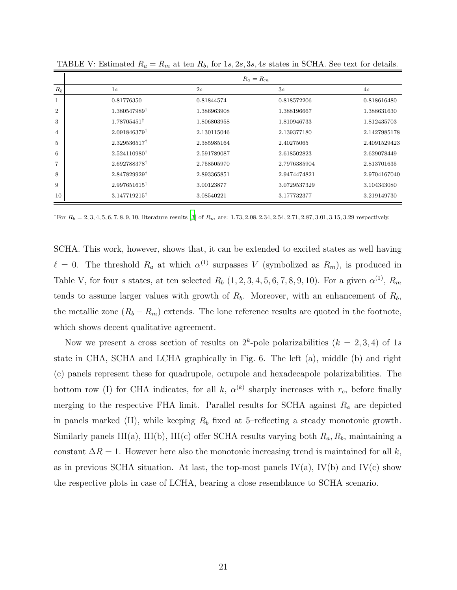|                |                          | $R_a = R_m$ |              |              |  |  |  |  |  |
|----------------|--------------------------|-------------|--------------|--------------|--|--|--|--|--|
| $R_b$          | 1s                       | 2s          | 3s           | 4s           |  |  |  |  |  |
| $\mathbf{1}$   | 0.81776350               | 0.81844574  | 0.818572206  | 0.818616480  |  |  |  |  |  |
| $\overline{2}$ | 1.380547989 <sup>†</sup> | 1.386963908 | 1.388196667  | 1.388631630  |  |  |  |  |  |
| 3              | $1.78705451^{\dagger}$   | 1.806803958 | 1.810946733  | 1.812435703  |  |  |  |  |  |
| $\overline{4}$ | 2.091846379              | 2.130115046 | 2.139377180  | 2.1427985178 |  |  |  |  |  |
| 5              | $2.329536517^{\dagger}$  | 2.385985164 | 2.40275065   | 2.4091529423 |  |  |  |  |  |
| 6              | $2.524110980^{\dagger}$  | 2.591789087 | 2.618502823  | 2.629078449  |  |  |  |  |  |
| $\overline{7}$ | 2.692788378 <sup>†</sup> | 2.758505970 | 2.7976385904 | 2.813701635  |  |  |  |  |  |
| 8              | 2.847829929 <sup>†</sup> | 2.893365851 | 2.9474474821 | 2.9704167040 |  |  |  |  |  |
| 9              | $2.997651615^{\dagger}$  | 3.00123877  | 3.0729537329 | 3.104343080  |  |  |  |  |  |
| 10             | $3.147719215^{\dagger}$  | 3.08540221  | 3.177732377  | 3.219149730  |  |  |  |  |  |

TABLE V: Estimated  $R_a = R_m$  at ten  $R_b$ , for  $1s, 2s, 3s, 4s$  states in SCHA. See text for details.

<sup>†</sup>For  $R_b = 2, 3, 4, 5, 6, 7, 8, 9, 10$ , literature results [\[3\]](#page-28-2) of  $R_m$  are: 1.73, 2.08, 2.34, 2.54, 2.71, 2.87, 3.01, 3.15, 3.29 respectively.

SCHA. This work, however, shows that, it can be extended to excited states as well having  $\ell = 0$ . The threshold  $R_a$  at which  $\alpha^{(1)}$  surpasses V (symbolized as  $R_m$ ), is produced in Table V, for four s states, at ten selected  $R_b$   $(1, 2, 3, 4, 5, 6, 7, 8, 9, 10)$ . For a given  $\alpha^{(1)}$ ,  $R_m$ tends to assume larger values with growth of  $R_b$ . Moreover, with an enhancement of  $R_b$ , the metallic zone  $(R_b - R_m)$  extends. The lone reference results are quoted in the footnote, which shows decent qualitative agreement.

Now we present a cross section of results on  $2^k$ -pole polarizabilities  $(k = 2, 3, 4)$  of 1s state in CHA, SCHA and LCHA graphically in Fig. 6. The left (a), middle (b) and right (c) panels represent these for quadrupole, octupole and hexadecapole polarizabilities. The bottom row (I) for CHA indicates, for all k,  $\alpha^{(k)}$  sharply increases with  $r_c$ , before finally merging to the respective FHA limit. Parallel results for SCHA against  $R_a$  are depicted in panels marked (II), while keeping  $R_b$  fixed at 5–reflecting a steady monotonic growth. Similarly panels III(a), III(b), III(c) offer SCHA results varying both  $R_a, R_b$ , maintaining a constant  $\Delta R = 1$ . However here also the monotonic increasing trend is maintained for all k, as in previous SCHA situation. At last, the top-most panels  $IV(a)$ ,  $IV(b)$  and  $IV(c)$  show the respective plots in case of LCHA, bearing a close resemblance to SCHA scenario.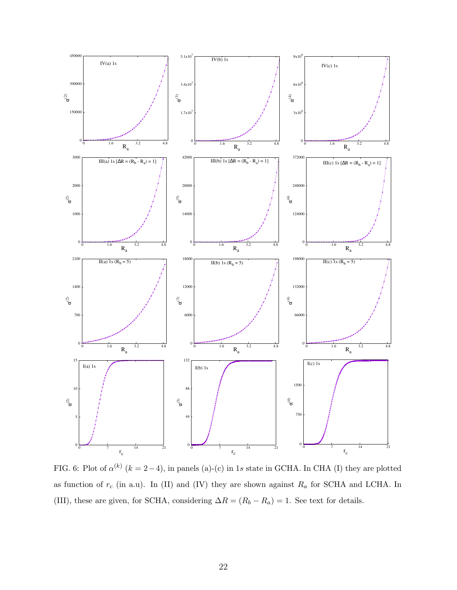

FIG. 6: Plot of  $\alpha^{(k)}$   $(k = 2-4)$ , in panels (a)-(c) in 1s state in GCHA. In CHA (I) they are plotted as function of  $r_c$  (in a.u). In (II) and (IV) they are shown against  $R_a$  for SCHA and LCHA. In (III), these are given, for SCHA, considering  $\Delta R = (R_b - R_a) = 1$ . See text for details.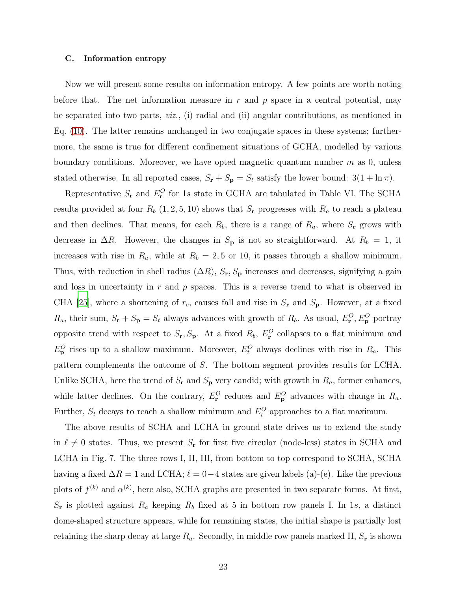#### C. Information entropy

Now we will present some results on information entropy. A few points are worth noting before that. The net information measure in r and p space in a central potential, may be separated into two parts, *viz.*, (i) radial and (ii) angular contributions, as mentioned in Eq. [\(10\)](#page-6-0). The latter remains unchanged in two conjugate spaces in these systems; furthermore, the same is true for different confinement situations of GCHA, modelled by various boundary conditions. Moreover, we have opted magnetic quantum number  $m$  as 0, unless stated otherwise. In all reported cases,  $S_{\bf r} + S_{\bf p} = S_t$  satisfy the lower bound:  $3(1 + \ln \pi)$ .

Representative  $S_r$  and  $E_r^O$  for 1s state in GCHA are tabulated in Table VI. The SCHA results provided at four  $R_b$  (1, 2, 5, 10) shows that  $S_r$  progresses with  $R_a$  to reach a plateau and then declines. That means, for each  $R_b$ , there is a range of  $R_a$ , where  $S_r$  grows with decrease in  $\Delta R$ . However, the changes in S<sub>p</sub> is not so straightforward. At  $R_b = 1$ , it increases with rise in  $R_a$ , while at  $R_b = 2, 5$  or 10, it passes through a shallow minimum. Thus, with reduction in shell radius  $(\Delta R)$ ,  $S_r$ ,  $S_p$  increases and decreases, signifying a gain and loss in uncertainty in  $r$  and  $p$  spaces. This is a reverse trend to what is observed in CHA [\[25](#page-29-8)], where a shortening of  $r_c$ , causes fall and rise in  $S_r$  and  $S_p$ . However, at a fixed  $R_a$ , their sum,  $S_r + S_p = S_t$  always advances with growth of  $R_b$ . As usual,  $E_r^O$ ,  $E_p^O$  portray opposite trend with respect to  $S_r$ ,  $S_p$ . At a fixed  $R_b$ ,  $E_r^{\mathcal{O}}$  collapses to a flat minimum and  $E_{\bf p}^O$  rises up to a shallow maximum. Moreover,  $E_t^O$  always declines with rise in  $R_a$ . This pattern complements the outcome of S. The bottom segment provides results for LCHA. Unlike SCHA, here the trend of  $S_r$  and  $S_p$  very candid; with growth in  $R_a$ , former enhances, while latter declines. On the contrary,  $E_r^O$  reduces and  $E_p^O$  advances with change in  $R_a$ . Further,  $S_t$  decays to reach a shallow minimum and  $E_t^O$  approaches to a flat maximum.

The above results of SCHA and LCHA in ground state drives us to extend the study in  $\ell \neq 0$  states. Thus, we present  $S_r$  for first five circular (node-less) states in SCHA and LCHA in Fig. 7. The three rows I, II, III, from bottom to top correspond to SCHA, SCHA having a fixed  $\Delta R = 1$  and LCHA;  $\ell = 0-4$  states are given labels (a)-(e). Like the previous plots of  $f^{(k)}$  and  $\alpha^{(k)}$ , here also, SCHA graphs are presented in two separate forms. At first,  $S_r$  is plotted against  $R_a$  keeping  $R_b$  fixed at 5 in bottom row panels I. In 1s, a distinct dome-shaped structure appears, while for remaining states, the initial shape is partially lost retaining the sharp decay at large  $R_a$ . Secondly, in middle row panels marked II,  $S_r$  is shown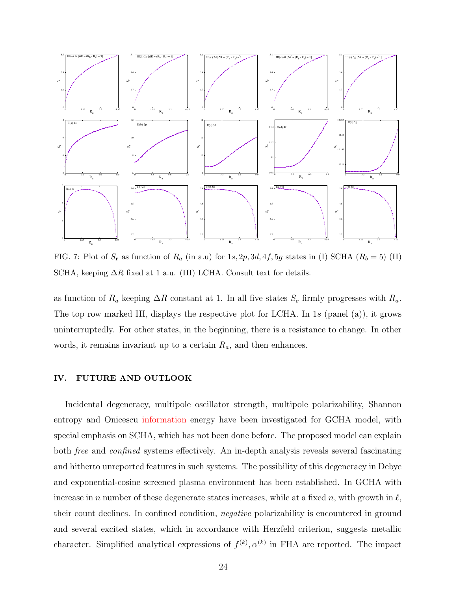

FIG. 7: Plot of  $S_r$  as function of  $R_a$  (in a.u) for  $1s, 2p, 3d, 4f, 5g$  states in (I) SCHA ( $R_b = 5$ ) (II) SCHA, keeping  $\Delta R$  fixed at 1 a.u. (III) LCHA. Consult text for details.

as function of  $R_a$  keeping  $\Delta R$  constant at 1. In all five states  $S_r$  firmly progresses with  $R_a$ . The top row marked III, displays the respective plot for LCHA. In 1s (panel (a)), it grows uninterruptedly. For other states, in the beginning, there is a resistance to change. In other words, it remains invariant up to a certain  $R_a$ , and then enhances.

# IV. FUTURE AND OUTLOOK

Incidental degeneracy, multipole oscillator strength, multipole polarizability, Shannon entropy and Onicescu information energy have been investigated for GCHA model, with special emphasis on SCHA, which has not been done before. The proposed model can explain both free and confined systems effectively. An in-depth analysis reveals several fascinating and hitherto unreported features in such systems. The possibility of this degeneracy in Debye and exponential-cosine screened plasma environment has been established. In GCHA with increase in n number of these degenerate states increases, while at a fixed n, with growth in  $\ell$ , their count declines. In confined condition, negative polarizability is encountered in ground and several excited states, which in accordance with Herzfeld criterion, suggests metallic character. Simplified analytical expressions of  $f^{(k)}$ ,  $\alpha^{(k)}$  in FHA are reported. The impact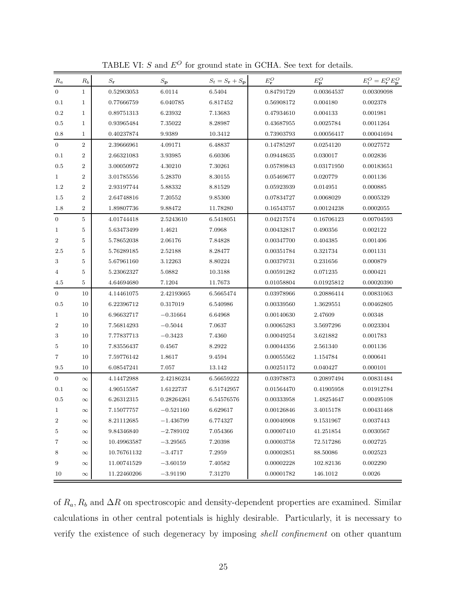| Ra               | $R_b$            | $S_{\mathbf{r}}$ | $S_{\mathbf{p}}$ | $S_t = S_{\mathbf{r}} + S_{\mathbf{p}}$ | $E_{\mathbf{r}}^{O}$ | $E_{\mathbf{p}}^{O}$ | $E_t^O = E_{\mathbf{r}}^O E_{\mathbf{p}}^O$ |
|------------------|------------------|------------------|------------------|-----------------------------------------|----------------------|----------------------|---------------------------------------------|
| $\overline{0}$   | $\mathbf{1}$     | 0.52903053       | 6.0114           | 6.5404                                  | 0.84791729           | 0.00364537           | 0.00309098                                  |
| 0.1              | $\mathbf{1}$     | 0.77666759       | 6.040785         | 6.817452                                | 0.56908172           | 0.004180             | 0.002378                                    |
| 0.2              | $\mathbf{1}$     | 0.89751313       | 6.23932          | 7.13683                                 | 0.47934610           | 0.004133             | 0.001981                                    |
| 0.5              | 1                | 0.93965484       | 7.35022          | 8.28987                                 | 0.43687955           | 0.0025784            | 0.0011264                                   |
| 0.8              | 1                | 0.40237874       | 9.9389           | 10.3412                                 | 0.73903793           | 0.00056417           | 0.00041694                                  |
| $\mathbf{0}$     | $\boldsymbol{2}$ | 2.39666961       | 4.09171          | 6.48837                                 | 0.14785297           | 0.0254120            | 0.0027572                                   |
| 0.1              | $\boldsymbol{2}$ | 2.66321083       | 3.93985          | 6.60306                                 | 0.09448635           | 0.030017             | 0.002836                                    |
| 0.5              | $\overline{2}$   | 3.00050972       | 4.30210          | 7.30261                                 | 0.05789843           | 0.03171950           | 0.00183651                                  |
| $\mathbf{1}$     | $\overline{2}$   | 3.01785556       | 5.28370          | 8.30155                                 | 0.05469677           | 0.020779             | 0.001136                                    |
| 1.2              | $\boldsymbol{2}$ | 2.93197744       | 5.88332          | 8.81529                                 | 0.05923939           | 0.014951             | 0.000885                                    |
| 1.5              | $\boldsymbol{2}$ | 2.64748816       | 7.20552          | 9.85300                                 | 0.07834727           | 0.0068029            | 0.0005329                                   |
| 1.8              | $\boldsymbol{2}$ | 1.89807736       | 9.88472          | 11.78280                                | 0.16543757           | 0.00124238           | 0.0002055                                   |
| $\mathbf{0}$     | 5                | 4.01744418       | 2.5243610        | 6.5418051                               | 0.04217574           | 0.16706123           | 0.00704593                                  |
| 1                | 5                | 5.63473499       | 1.4621           | 7.0968                                  | 0.00432817           | 0.490356             | 0.002122                                    |
| $\overline{2}$   | 5                | 5.78652038       | 2.06176          | 7.84828                                 | 0.00347700           | 0.404385             | 0.001406                                    |
| 2.5              | 5                | 5.76289185       | 2.52188          | 8.28477                                 | 0.00351784           | 0.321734             | 0.001131                                    |
| 3                | 5                | 5.67961160       | 3.12263          | 8.80224                                 | 0.00379731           | 0.231656             | 0.000879                                    |
| 4                | 5                | 5.23062327       | 5.0882           | 10.3188                                 | 0.00591282           | 0.071235             | 0.000421                                    |
| 4.5              | 5                | 4.64694680       | 7.1204           | 11.7673                                 | 0.01058804           | 0.01925812           | 0.00020390                                  |
| $\overline{0}$   | 10               | 4.14461075       | 2.42193665       | 6.5665474                               | 0.03978966           | 0.20886414           | 0.00831063                                  |
| 0.5              | 10               | 6.22396712       | 0.317019         | 6.540986                                | 0.00339560           | 1.3629551            | 0.00462805                                  |
| 1                | $10\,$           | 6.96632717       | $-0.31664$       | 6.64968                                 | 0.00140630           | 2.47609              | 0.00348                                     |
| $\boldsymbol{2}$ | 10               | 7.56814293       | $-0.5044$        | 7.0637                                  | 0.00065283           | 3.5697296            | 0.0023304                                   |
| 3                | 10               | 7.77837713       | $-0.3423$        | 7.4360                                  | 0.00049254           | 3.621882             | 0.001783                                    |
| 5                | 10               | 7.83556437       | 0.4567           | 8.2922                                  | 0.00044356           | 2.561340             | 0.001136                                    |
| 7                | 10               | 7.59776142       | 1.8617           | 9.4594                                  | 0.00055562           | 1.154784             | 0.000641                                    |
| 9.5              | 10               | 6.08547241       | 7.057            | 13.142                                  | 0.00251172           | 0.040427             | 0.000101                                    |
| $\overline{0}$   | $\infty$         | 4.14472988       | 2.42186234       | 6.56659222                              | 0.03978873           | 0.20897494           | 0.00831484                                  |
| 0.1              | $\infty$         | 4.90515587       | 1.6122737        | 6.51742957                              | 0.01564470           | 0.41905958           | 0.01912784                                  |
| 0.5              | $\infty$         | 6.26312315       | 0.28264261       | 6.54576576                              | 0.00333958           | 1.48254647           | 0.00495108                                  |
| $\mathbf{1}$     | $\infty$         | 7.15077757       | $-0.521160$      | 6.629617                                | 0.00126846           | 3.4015178            | 0.00431468                                  |
| 2                | $\infty$         | 8.21112685       | $-1.436799$      | 6.774327                                | 0.00040908           | 9.1531967            | 0.0037443                                   |
| 5                | $\infty$         | 9.84346840       | $-2.789102$      | 7.054366                                | 0.00007410           | 41.251854            | 0.0030567                                   |
| 7                | $\infty$         | 10.49963587      | $-3.29565$       | 7.20398                                 | 0.00003758           | 72.517286            | 0.002725                                    |
| 8                | $\infty$         | 10.76761132      | $-3.4717$        | 7.2959                                  | 0.00002851           | 88.50086             | 0.002523                                    |
| 9                | $\infty$         | 11.00741529      | $-3.60159$       | 7.40582                                 | 0.00002228           | 102.82136            | 0.002290                                    |
| 10               | $\infty$         | 11.22460206      | $-3.91190$       | 7.31270                                 | 0.00001782           | 146.1012             | 0.0026                                      |

TABLE VI:  $S$  and  $E^O$  for ground state in GCHA. See text for details.

of  $R_a, R_b$  and  $\Delta R$  on spectroscopic and density-dependent properties are examined. Similar calculations in other central potentials is highly desirable. Particularly, it is necessary to verify the existence of such degeneracy by imposing shell confinement on other quantum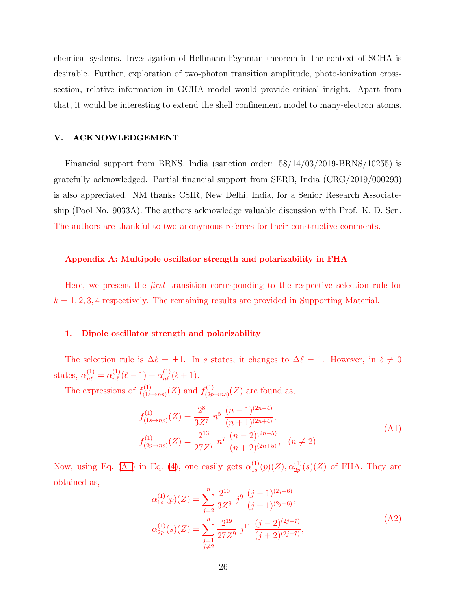chemical systems. Investigation of Hellmann-Feynman theorem in the context of SCHA is desirable. Further, exploration of two-photon transition amplitude, photo-ionization crosssection, relative information in GCHA model would provide critical insight. Apart from that, it would be interesting to extend the shell confinement model to many-electron atoms.

#### V. ACKNOWLEDGEMENT

Financial support from BRNS, India (sanction order: 58/14/03/2019-BRNS/10255) is gratefully acknowledged. Partial financial support from SERB, India (CRG/2019/000293) is also appreciated. NM thanks CSIR, New Delhi, India, for a Senior Research Associateship (Pool No. 9033A). The authors acknowledge valuable discussion with Prof. K. D. Sen. The authors are thankful to two anonymous referees for their constructive comments.

#### Appendix A: Multipole oscillator strength and polarizability in FHA

Here, we present the first transition corresponding to the respective selection rule for  $k = 1, 2, 3, 4$  respectively. The remaining results are provided in Supporting Material.

## 1. Dipole oscillator strength and polarizability

The selection rule is  $\Delta \ell = \pm 1$ . In s states, it changes to  $\Delta \ell = 1$ . However, in  $\ell \neq 0$ states,  $\alpha_{n\ell}^{(1)} = \alpha_{n\ell}^{(1)}(\ell-1) + \alpha_{n\ell}^{(1)}(\ell+1)$ .

The expressions of  $f_{(1)}^{(1)}$  $f^{(1)}_{(1s\to np)}(Z)$  and  $f^{(1)}_{(2p)}$  $\binom{(1)}{(2p\rightarrow ns)}(Z)$  are found as,

<span id="page-25-0"></span>
$$
f_{(1s\to np)}^{(1)}(Z) = \frac{2^8}{3Z^7} n^5 \frac{(n-1)^{(2n-4)}}{(n+1)^{(2n+4)}},
$$
  
\n
$$
f_{(2p\to ns)}^{(1)}(Z) = \frac{2^{13}}{27Z^7} n^7 \frac{(n-2)^{(2n-5)}}{(n+2)^{(2n+5)}}, \quad (n \neq 2)
$$
\n(A1)

Now, using Eq. [\(A1\)](#page-25-0) in Eq. [\(4\)](#page-5-0), one easily gets  $\alpha_{1s}^{(1)}$  $_{1s}^{(1)}(p)(Z), \alpha_{2p}^{(1)}$  $\binom{11}{2p}(s)(Z)$  of FHA. They are obtained as,

$$
\alpha_{1s}^{(1)}(p)(Z) = \sum_{j=2}^{n} \frac{2^{10}}{3Z^9} j^9 \frac{(j-1)^{(2j-6)}}{(j+1)^{(2j+6)}},
$$
  
\n
$$
\alpha_{2p}^{(1)}(s)(Z) = \sum_{\substack{j=1 \ j \neq 2}}^{n} \frac{2^{19}}{27Z^9} j^{11} \frac{(j-2)^{(2j-7)}}{(j+2)^{(2j+7)}},
$$
\n(A2)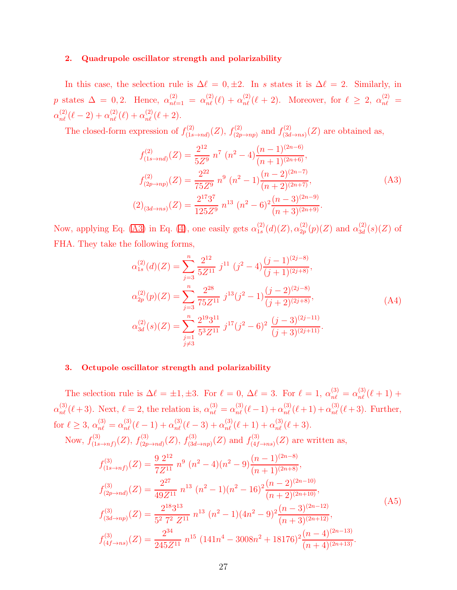# 2. Quadrupole oscillator strength and polarizability

In this case, the selection rule is  $\Delta \ell = 0, \pm 2$ . In s states it is  $\Delta \ell = 2$ . Similarly, in p states  $\Delta = 0, 2$ . Hence,  $\alpha_{n\ell=1}^{(2)} = \alpha_{n\ell}^{(2)}(\ell) + \alpha_{n\ell}^{(2)}(\ell+2)$ . Moreover, for  $\ell \geq 2$ ,  $\alpha_{n\ell}^{(2)} =$  $\alpha^{(2)}_{n\ell}(\ell-2) + \alpha^{(2)}_{n\ell}(\ell) + \alpha^{(2)}_{n\ell}(\ell+2).$ 

The closed-form expression of  $f_{(1)}^{(2)}$  $f^{(2)}_{(1s\rightarrow nd)}(Z), f^{(2)}_{(2p)}$  $f_{(2p\to np)}^{(2)}$  and  $f_{(3d)}^{(2)}$  $\binom{(\mathcal{Z})}{(3d\rightarrow ns)}(Z)$  are obtained as,

<span id="page-26-0"></span>
$$
f_{(1s\to nd)}^{(2)}(Z) = \frac{2^{12}}{5Z^9} n^7 (n^2 - 4) \frac{(n-1)^{(2n-6)}}{(n+1)^{(2n+6)}},
$$
  
\n
$$
f_{(2p\to np)}^{(2)}(Z) = \frac{2^{22}}{75Z^9} n^9 (n^2 - 1) \frac{(n-2)^{(2n-7)}}{(n+2)^{(2n+7)}},
$$
  
\n
$$
(2)_{(3d\to ns)}(Z) = \frac{2^{17}3^7}{125Z^9} n^{13} (n^2 - 6)^2 \frac{(n-3)^{(2n-9)}}{(n+3)^{(2n+9)}}.
$$
\n(A3)

Now, applying Eq. [\(A3\)](#page-26-0) in Eq. [\(4\)](#page-5-0), one easily gets  $\alpha_{1s}^{(2)}$  $_{1s}^{(2)}(d)(Z),\alpha_{2p}^{(2)}$  $\binom{2}{2p}(p)(Z)$  and  $\alpha_{3d}^{(2)}$  $\binom{2}{3d}(s)(Z)$  of FHA. They take the following forms,

$$
\alpha_{1s}^{(2)}(d)(Z) = \sum_{j=3}^{n} \frac{2^{12}}{5Z^{11}} j^{11} (j^2 - 4) \frac{(j-1)^{(2j-8)}}{(j+1)^{(2j+8)}},
$$
  
\n
$$
\alpha_{2p}^{(2)}(p)(Z) = \sum_{j=3}^{n} \frac{2^{28}}{75Z^{11}} j^{13} (j^2 - 1) \frac{(j-2)^{(2j-8)}}{(j+2)^{(2j+8)}},
$$
  
\n
$$
\alpha_{3d}^{(2)}(s)(Z) = \sum_{\substack{j=1 \ j \neq 3}}^{n} \frac{2^{19}3^{11}}{5^3Z^{11}} j^{17} (j^2 - 6)^2 \frac{(j-3)^{(2j-11)}}{(j+3)^{(2j+11)}}.
$$
\n(A4)

# 3. Octupole oscillator strength and polarizability

The selection rule is  $\Delta \ell = \pm 1, \pm 3$ . For  $\ell = 0, \Delta \ell = 3$ . For  $\ell = 1, \alpha_{n\ell}^{(3)} = \alpha_{n\ell}^{(3)}(\ell+1)$  +  $\alpha_{n\ell}^{(3)}(\ell+3)$ . Next,  $\ell=2$ , the relation is,  $\alpha_{n\ell}^{(3)} = \alpha_{n\ell}^{(3)}(\ell-1) + \alpha_{n\ell}^{(3)}(\ell+1) + \alpha_{n\ell}^{(3)}(\ell+3)$ . Further,  $\text{for } \ell \geq 3, \, \alpha_{n\ell}^{(3)} = \alpha_{n\ell}^{(3)}(\ell-1) + \alpha_{n\ell}^{(3)}(\ell-3) + \alpha_{n\ell}^{(3)}(\ell+1) + \alpha_{n\ell}^{(3)}(\ell+3).$ Now,  $f_{(1s)}^{(3)}$  $f^{(3)}_{(1s\rightarrow nf)}(Z), f^{(3)}_{(2p)}$  $f^{(3)}_{(2p\rightarrow nd)}(Z),\, f^{(3)}_{(3d)}$  $f^{(3)}_{(3d\rightarrow np)}(Z)$  and  $f^{(3)}_{(4f)}$  $\binom{(3)}{(4f\rightarrow ns)}$  (Z) are written as,

<span id="page-26-1"></span>
$$
f_{(1s\to nf)}^{(3)}(Z) = \frac{9 \ 2^{12}}{7Z^{11}} \ n^9 \ (n^2 - 4)(n^2 - 9) \frac{(n-1)^{(2n-8)}}{(n+1)^{(2n+8)}},
$$
  
\n
$$
f_{(2p\to nd)}^{(3)}(Z) = \frac{2^{27}}{49Z^{11}} \ n^{13} \ (n^2 - 1)(n^2 - 16)^2 \frac{(n-2)^{(2n-10)}}{(n+2)^{(2n+10)}},
$$
  
\n
$$
f_{(3d\to np)}^{(3)}(Z) = \frac{2^{18}3^{13}}{5^2 \ 7^2 \ 2^{11}} \ n^{13} \ (n^2 - 1)(4n^2 - 9)^2 \frac{(n-3)^{(2n-12)}}{(n+3)^{(2n+12)}},
$$
  
\n
$$
f_{(4f\to ns)}^{(3)}(Z) = \frac{2^{34}}{245Z^{11}} \ n^{15} \ (141n^4 - 3008n^2 + 18176)^2 \frac{(n-4)^{(2n-13)}}{(n+4)^{(2n+13)}}.
$$
 (A5)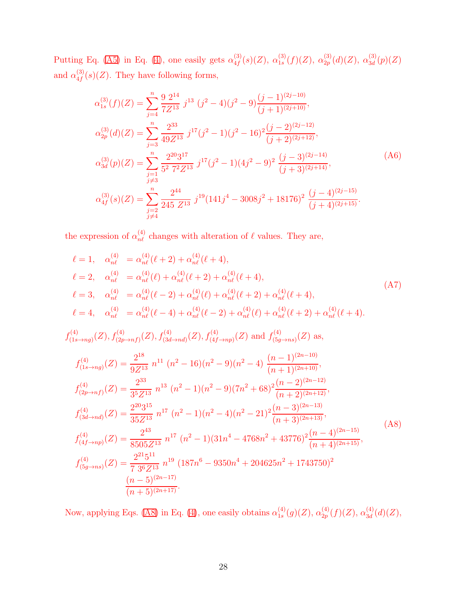Putting Eq. [\(A5\)](#page-26-1) in Eq. [\(4\)](#page-5-0), one easily gets  $\alpha_{4f}^{(3)}$  $_{4f}^{(3)}(s)(Z), \ \alpha_{1s}^{(3)}$  $\frac{(3)}{1s}(f)(Z), \alpha_{2p}^{(3)}$  $\frac{\binom{3}{2}}{2p}(d)(Z), \; \alpha^{(3)}_{3d}$  $\binom{3}{3d}(p)(Z)$ and  $\alpha_{4f}^{(3)}$  $_{4f}^{(3)}(s)(Z)$ . They have following forms,

$$
\alpha_{1s}^{(3)}(f)(Z) = \sum_{j=4}^{n} \frac{9 \ 2^{14}}{7Z^{13}} \ j^{13} \ (j^2 - 4)(j^2 - 9) \frac{(j-1)^{(2j-10)}}{(j+1)^{(2j+10)}},
$$
  
\n
$$
\alpha_{2p}^{(3)}(d)(Z) = \sum_{j=3}^{n} \frac{2^{33}}{49Z^{13}} \ j^{17}(j^2 - 1)(j^2 - 16)^2 \frac{(j-2)^{(2j-12)}}{(j+2)^{(2j+12)}},
$$
  
\n
$$
\alpha_{3d}^{(3)}(p)(Z) = \sum_{\substack{j=1 \ j \neq 3}}^{n} \frac{2^{20}3^{17}}{5^2 \ 7^2 Z^{13}} \ j^{17}(j^2 - 1)(4j^2 - 9)^2 \ \frac{(j-3)^{(2j-14)}}{(j+3)^{(2j+14)}},
$$
  
\n
$$
\alpha_{4f}^{(3)}(s)(Z) = \sum_{\substack{j=2 \ j \neq 4}}^{n} \frac{2^{44}}{245 \ Z^{13}} \ j^{19}(141j^4 - 3008j^2 + 18176)^2 \ \frac{(j-4)^{(2j-15)}}{(j+4)^{(2j+15)}}.
$$

the expression of  $\alpha_{n\ell}^{(4)}$  changes with alteration of  $\ell$  values. They are,

$$
\ell = 1, \quad \alpha_{n\ell}^{(4)} = \alpha_{n\ell}^{(4)}(\ell+2) + \alpha_{n\ell}^{(4)}(\ell+4),
$$
\n
$$
\ell = 2, \quad \alpha_{n\ell}^{(4)} = \alpha_{n\ell}^{(4)}(\ell) + \alpha_{n\ell}^{(4)}(\ell+2) + \alpha_{n\ell}^{(4)}(\ell+4),
$$
\n
$$
\ell = 3, \quad \alpha_{n\ell}^{(4)} = \alpha_{n\ell}^{(4)}(\ell-2) + \alpha_{n\ell}^{(4)}(\ell) + \alpha_{n\ell}^{(4)}(\ell+2) + \alpha_{n\ell}^{(4)}(\ell+4),
$$
\n
$$
\ell = 4, \quad \alpha_{n\ell}^{(4)} = \alpha_{n\ell}^{(4)}(\ell-4) + \alpha_{n\ell}^{(4)}(\ell-2) + \alpha_{n\ell}^{(4)}(\ell) + \alpha_{n\ell}^{(4)}(\ell+2) + \alpha_{n\ell}^{(4)}(\ell+4).
$$
\n
$$
f_{(1s\rightarrow ng)}^{(4)}(Z), f_{(2p\rightarrow nf)}^{(4)}(Z), f_{(3d\rightarrow nd)}^{(4)}(Z), f_{(4f\rightarrow np)}^{(4)}(Z) \text{ and } f_{(5g\rightarrow ns)}^{(4)}(Z) \text{ as,}
$$
\n
$$
f_{(1s\rightarrow ng)}^{(4)}(Z) = \frac{2^{18}}{9Z^{13}} n^{11} (n^2 - 16)(n^2 - 9)(n^2 - 4) \frac{(n-1)^{(2n-10)}}{(n+1)^{(2n+10)}},
$$
\n
$$
f_{(2p\rightarrow nf)}^{(4)}(Z) = \frac{2^{33}}{35Z^{13}} n^{13} (n^2 - 1)(n^2 - 9)(7n^2 + 68)^2 \frac{(n-2)^{(2n-12)}}{(n+2)^{(2n+12)}},
$$
\n
$$
f_{(3d\rightarrow nd)}^{(4)}(Z) = \frac{2^{20}3^{15}}{35Z^{13}} n^{17} (n^2 - 1)(n^2 - 4)(n^2 - 21)^2 \frac{(n-3)^{(2n-13)}}{(n+3)^{(2n+13)}},
$$
\n
$$
f_{(4f\rightarrow np)}^{(4)}(Z
$$

<span id="page-27-0"></span>Now, applying Eqs. [\(A8\)](#page-27-0) in Eq. [\(4\)](#page-5-0), one easily obtains  $\alpha_{1s}^{(4)}$  $_{1s}^{(4)}(g)(Z), \, \alpha_{2p}^{(4)}$  $\alpha_{2p}^{(4)}(f)(Z), \, \alpha_{3d}^{(4)}$  $\binom{4}{3d}(d)(Z),$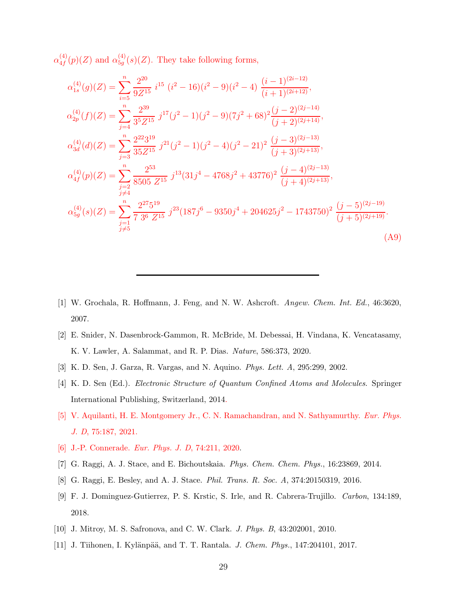$\alpha^{(4)}_{4\,f}$  $_{4f}^{(4)}(p)(Z)$  and  $\alpha_{5g}^{(4)}$  $_{5g}^{(4)}(s)(Z)$ . They take following forms,

$$
\alpha_{1s}^{(4)}(g)(Z) = \sum_{i=5}^{n} \frac{2^{20}}{9Z^{15}} i^{15} (i^2 - 16)(i^2 - 9)(i^2 - 4) \frac{(i-1)^{(2i-12)}}{(i+1)^{(2i+12)}},
$$
  
\n
$$
\alpha_{2p}^{(4)}(f)(Z) = \sum_{j=4}^{n} \frac{2^{39}}{3^5 Z^{15}} j^{17} (j^2 - 1)(j^2 - 9)(7j^2 + 68)^2 \frac{(j-2)^{(2j-14)}}{(j+2)^{(2j+14)}},
$$
  
\n
$$
\alpha_{3d}^{(4)}(d)(Z) = \sum_{j=3}^{n} \frac{2^{22}3^{19}}{35Z^{15}} j^{21} (j^2 - 1)(j^2 - 4)(j^2 - 21)^2 \frac{(j-3)^{(2j-13)}}{(j+3)^{(2j+13)}},
$$
  
\n
$$
\alpha_{4f}^{(4)}(p)(Z) = \sum_{\substack{j=2 \ j \neq 4}}^{n} \frac{2^{53}}{8505 Z^{15}} j^{13} (31j^4 - 4768j^2 + 43776)^2 \frac{(j-4)^{(2j-13)}}{(j+4)^{(2j+13)}},
$$
  
\n
$$
\alpha_{5g}^{(4)}(s)(Z) = \sum_{\substack{j=1 \ j \neq 4}}^{n} \frac{2^{27}5^{19}}{73^6 Z^{15}} j^{23} (187j^6 - 9350j^4 + 204625j^2 - 1743750)^2 \frac{(j-5)^{(2j-19)}}{(j+5)^{(2j+19)}}.
$$
  
\n(A9)

- <span id="page-28-0"></span>[1] W. Grochala, R. Hoffmann, J. Feng, and N. W. Ashcroft. *Angew. Chem. Int. Ed.*, 46:3620, 2007.
- <span id="page-28-1"></span>[2] E. Snider, N. Dasenbrock-Gammon, R. McBride, M. Debessai, H. Vindana, K. Vencatasamy, K. V. Lawler, A. Salammat, and R. P. Dias. *Nature*, 586:373, 2020.
- <span id="page-28-2"></span>[3] K. D. Sen, J. Garza, R. Vargas, and N. Aquino. *Phys. Lett. A*, 295:299, 2002.
- <span id="page-28-3"></span>[4] K. D. Sen (Ed.). *Electronic Structure of Quantum Confined Atoms and Molecules*. Springer International Publishing, Switzerland, 2014.
- <span id="page-28-4"></span>[5] V. Aquilanti, H. E. Montgomery Jr., C. N. Ramachandran, and N. Sathyamurthy. *Eur. Phys. J. D*, 75:187, 2021.
- <span id="page-28-5"></span>[6] J.-P. Connerade. *Eur. Phys. J. D*, 74:211, 2020.
- <span id="page-28-6"></span>[7] G. Raggi, A. J. Stace, and E. Bichoutskaia. *Phys. Chem. Chem. Phys.*, 16:23869, 2014.
- [8] G. Raggi, E. Besley, and A. J. Stace. *Phil. Trans. R. Soc. A*, 374:20150319, 2016.
- <span id="page-28-7"></span>[9] F. J. Dominguez-Gutierrez, P. S. Krstic, S. Irle, and R. Cabrera-Trujillo. *Carbon*, 134:189, 2018.
- <span id="page-28-8"></span>[10] J. Mitroy, M. S. Safronova, and C. W. Clark. *J. Phys. B*, 43:202001, 2010.
- <span id="page-28-9"></span>[11] J. Tiihonen, I. Kylänpää, and T. T. Rantala. *J. Chem. Phys.*, 147:204101, 2017.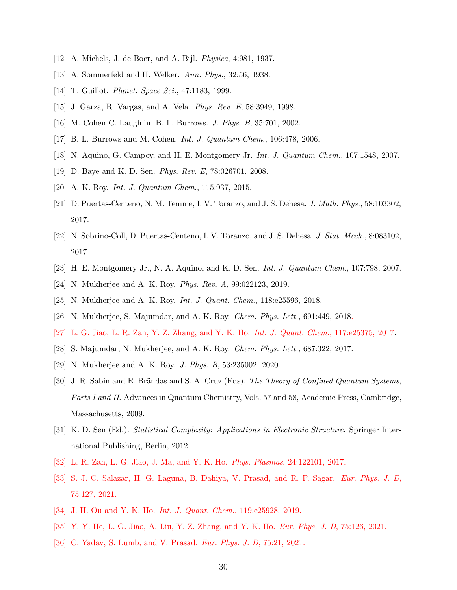- <span id="page-29-1"></span><span id="page-29-0"></span>[12] A. Michels, J. de Boer, and A. Bijl. *Physica*, 4:981, 1937.
- <span id="page-29-2"></span>[13] A. Sommerfeld and H. Welker. *Ann. Phys.*, 32:56, 1938.
- <span id="page-29-3"></span>[14] T. Guillot. *Planet. Space Sci.*, 47:1183, 1999.
- [15] J. Garza, R. Vargas, and A. Vela. *Phys. Rev. E*, 58:3949, 1998.
- <span id="page-29-5"></span>[16] M. Cohen C. Laughlin, B. L. Burrows. *J. Phys. B*, 35:701, 2002.
- [17] B. L. Burrows and M. Cohen. *Int. J. Quantum Chem.*, 106:478, 2006.
- [18] N. Aquino, G. Campoy, and H. E. Montgomery Jr. *Int. J. Quantum Chem.*, 107:1548, 2007.
- [19] D. Baye and K. D. Sen. *Phys. Rev. E*, 78:026701, 2008.
- [20] A. K. Roy. *Int. J. Quantum Chem.*, 115:937, 2015.
- [21] D. Puertas-Centeno, N. M. Temme, I. V. Toranzo, and J. S. Dehesa. *J. Math. Phys.*, 58:103302, 2017.
- <span id="page-29-4"></span>[22] N. Sobrino-Coll, D. Puertas-Centeno, I. V. Toranzo, and J. S. Dehesa. *J. Stat. Mech.*, 8:083102, 2017.
- <span id="page-29-7"></span><span id="page-29-6"></span>[23] H. E. Montgomery Jr., N. A. Aquino, and K. D. Sen. *Int. J. Quantum Chem.*, 107:798, 2007.
- <span id="page-29-8"></span>[24] N. Mukherjee and A. K. Roy. *Phys. Rev. A*, 99:022123, 2019.
- [25] N. Mukherjee and A. K. Roy. *Int. J. Quant. Chem.*, 118:e25596, 2018.
- [26] N. Mukherjee, S. Majumdar, and A. K. Roy. *Chem. Phys. Lett.*, 691:449, 2018.
- [27] L. G. Jiao, L. R. Zan, Y. Z. Zhang, and Y. K. Ho. *Int. J. Quant. Chem.*, 117:e25375, 2017.
- [28] S. Majumdar, N. Mukherjee, and A. K. Roy. *Chem. Phys. Lett.*, 687:322, 2017.
- <span id="page-29-15"></span>[29] N. Mukherjee and A. K. Roy. *J. Phys. B*, 53:235002, 2020.
- [30] J. R. Sabin and E. Brändas and S. A. Cruz (Eds). *The Theory of Confined Quantum Systems*, *Parts I and II*. Advances in Quantum Chemistry, Vols. 57 and 58, Academic Press, Cambridge, Massachusetts, 2009.
- <span id="page-29-9"></span>[31] K. D. Sen (Ed.). *Statistical Complexity: Applications in Electronic Structure*. Springer International Publishing, Berlin, 2012.
- <span id="page-29-10"></span>[32] L. R. Zan, L. G. Jiao, J. Ma, and Y. K. Ho. *Phys. Plasmas*, 24:122101, 2017.
- <span id="page-29-11"></span>[33] S. J. C. Salazar, H. G. Laguna, B. Dahiya, V. Prasad, and R. P. Sagar. *Eur. Phys. J. D*, 75:127, 2021.
- <span id="page-29-12"></span>[34] J. H. Ou and Y. K. Ho. *Int. J. Quant. Chem.*, 119:e25928, 2019.
- <span id="page-29-13"></span>[35] Y. Y. He, L. G. Jiao, A. Liu, Y. Z. Zhang, and Y. K. Ho. *Eur. Phys. J. D*, 75:126, 2021.
- <span id="page-29-14"></span>[36] C. Yadav, S. Lumb, and V. Prasad. *Eur. Phys. J. D*, 75:21, 2021.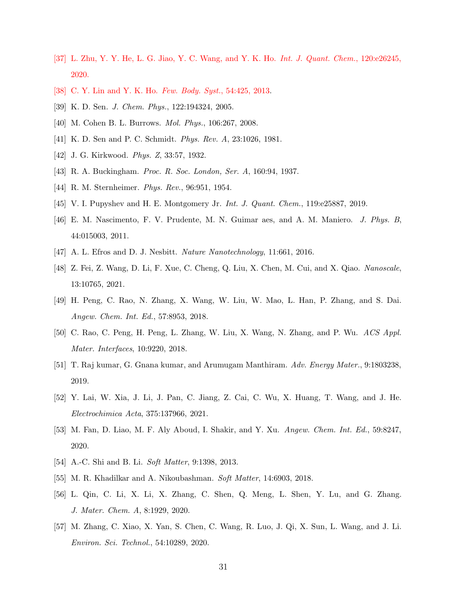- <span id="page-30-0"></span>[37] L. Zhu, Y. Y. He, L. G. Jiao, Y. C. Wang, and Y. K. Ho. *Int. J. Quant. Chem.*, 120:e26245, 2020.
- <span id="page-30-2"></span><span id="page-30-1"></span>[38] C. Y. Lin and Y. K. Ho. *Few. Body. Syst.*, 54:425, 2013.
- <span id="page-30-3"></span>[39] K. D. Sen. *J. Chem. Phys.*, 122:194324, 2005.
- <span id="page-30-4"></span>[40] M. Cohen B. L. Burrows. *Mol. Phys.*, 106:267, 2008.
- <span id="page-30-5"></span>[41] K. D. Sen and P. C. Schmidt. *Phys. Rev. A*, 23:1026, 1981.
- <span id="page-30-6"></span>[42] J. G. Kirkwood. *Phys. Z*, 33:57, 1932.
- <span id="page-30-7"></span>[43] R. A. Buckingham. *Proc. R. Soc. London, Ser. A*, 160:94, 1937.
- <span id="page-30-8"></span>[44] R. M. Sternheimer. *Phys. Rev.*, 96:951, 1954.
- <span id="page-30-9"></span>[45] V. I. Pupyshev and H. E. Montgomery Jr. *Int. J. Quant. Chem.*, 119:e25887, 2019.
- [46] E. M. Nascimento, F. V. Prudente, M. N. Guimar aes, and A. M. Maniero. *J. Phys. B*, 44:015003, 2011.
- <span id="page-30-11"></span><span id="page-30-10"></span>[47] A. L. Efros and D. J. Nesbitt. *Nature Nanotechnology*, 11:661, 2016.
- [48] Z. Fei, Z. Wang, D. Li, F. Xue, C. Cheng, Q. Liu, X. Chen, M. Cui, and X. Qiao. *Nanoscale*, 13:10765, 2021.
- [49] H. Peng, C. Rao, N. Zhang, X. Wang, W. Liu, W. Mao, L. Han, P. Zhang, and S. Dai. *Angew. Chem. Int. Ed.*, 57:8953, 2018.
- [50] C. Rao, C. Peng, H. Peng, L. Zhang, W. Liu, X. Wang, N. Zhang, and P. Wu. *ACS Appl. Mater. Interfaces*, 10:9220, 2018.
- [51] T. Raj kumar, G. Gnana kumar, and Arumugam Manthiram. *Adv. Energy Mater.*, 9:1803238, 2019.
- <span id="page-30-12"></span>[52] Y. Lai, W. Xia, J. Li, J. Pan, C. Jiang, Z. Cai, C. Wu, X. Huang, T. Wang, and J. He. *Electrochimica Acta*, 375:137966, 2021.
- <span id="page-30-13"></span>[53] M. Fan, D. Liao, M. F. Aly Aboud, I. Shakir, and Y. Xu. *Angew. Chem. Int. Ed.*, 59:8247, 2020.
- <span id="page-30-14"></span>[54] A.-C. Shi and B. Li. *Soft Matter*, 9:1398, 2013.
- <span id="page-30-15"></span>[55] M. R. Khadilkar and A. Nikoubashman. *Soft Matter*, 14:6903, 2018.
- <span id="page-30-16"></span>[56] L. Qin, C. Li, X. Li, X. Zhang, C. Shen, Q. Meng, L. Shen, Y. Lu, and G. Zhang. *J. Mater. Chem. A*, 8:1929, 2020.
- <span id="page-30-17"></span>[57] M. Zhang, C. Xiao, X. Yan, S. Chen, C. Wang, R. Luo, J. Qi, X. Sun, L. Wang, and J. Li. *Environ. Sci. Technol.*, 54:10289, 2020.